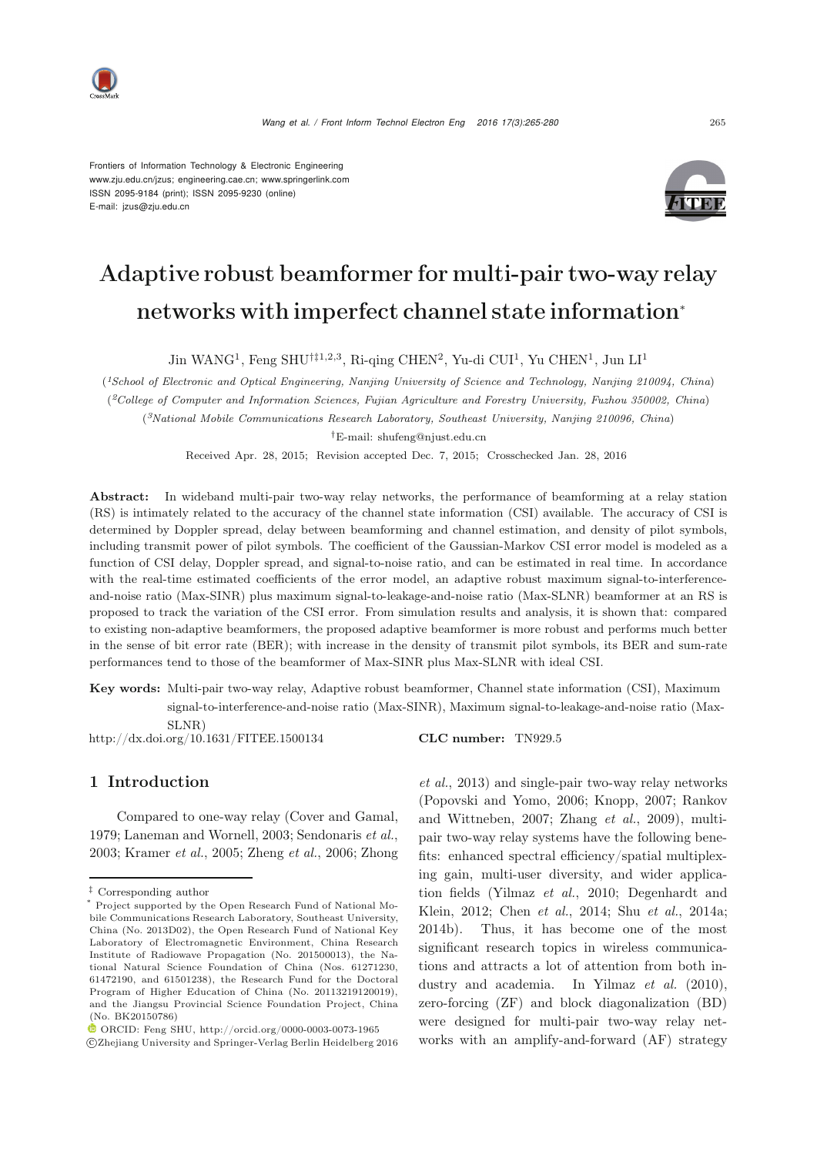

Frontiers of Information Technology & Electronic Engineering www.zju.edu.cn/jzus; engineering.cae.cn; www.springerlink.com ISSN 2095-9184 (print); ISSN 2095-9230 (online) E-mail: jzus@zju.edu.cn



# Adaptive robust beamformer for multi-pair two-way relay networks with imperfect channel state information<sup>∗</sup>

Jin WANG<sup>1</sup>, Feng SHU<sup>†‡1,2,3</sup>, Ri-qing CHEN<sup>2</sup>, Yu-di CUI<sup>1</sup>, Yu CHEN<sup>1</sup>, Jun LI<sup>1</sup>

(*1School of Electronic and Optical Engineering, Nanjing University of Science and Technology, Nanjing 210094, China*) (*2College of Computer and Information Sciences, Fujian Agriculture and Forestry University, Fuzhou 350002, China*) (*3National Mobile Communications Research Laboratory, Southeast University, Nanjing 210096, China*)

*†*E-mail: shufeng@njust.edu.cn

Received Apr. 28, 2015; Revision accepted Dec. 7, 2015; Crosschecked Jan. 28, 2016

Abstract: In wideband multi-pair two-way relay networks, the performance of beamforming at a relay station (RS) is intimately related to the accuracy of the channel state information (CSI) available. The accuracy of CSI is determined by Doppler spread, delay between beamforming and channel estimation, and density of pilot symbols, including transmit power of pilot symbols. The coefficient of the Gaussian-Markov CSI error model is modeled as a function of CSI delay, Doppler spread, and signal-to-noise ratio, and can be estimated in real time. In accordance with the real-time estimated coefficients of the error model, an adaptive robust maximum signal-to-interferenceand-noise ratio (Max-SINR) plus maximum signal-to-leakage-and-noise ratio (Max-SLNR) beamformer at an RS is proposed to track the variation of the CSI error. From simulation results and analysis, it is shown that: compared to existing non-adaptive beamformers, the proposed adaptive beamformer is more robust and performs much better in the sense of bit error rate (BER); with increase in the density of transmit pilot symbols, its BER and sum-rate performances tend to those of the beamformer of Max-SINR plus Max-SLNR with ideal CSI.

Key words: Multi-pair two-way relay, Adaptive robust beamformer, Channel state information (CSI), Maximum signal-to-interference-and-noise ratio (Max-SINR), Maximum signal-to-leakage-and-noise ratio (Max-SLNR)

http://dx.doi.org/10.1631/FITEE.1500134 CLC number: TN929.5

#### 1 Introduction

Compared to one-way relay [\(Cover and G](#page-9-0)[amal,](#page-10-2) [1979](#page-9-0); [Laneman and Wornell, 2003](#page-9-1); [Sendonaris](#page-10-0) *et al.*, [2003](#page-10-0); [Kramer](#page-9-2) *et al.*, [2005;](#page-9-2) [Zheng](#page-10-1) *et al.*, [2006;](#page-10-1) Zhong

c Zhejiang University and Springer-Verlag Berlin Heidelberg 2016

*et al.*, [2013](#page-10-2)) and single-pair two-way relay networks [\(Popovski and Yomo, 2006](#page-9-3)[;](#page-10-3) [Knopp, 2007](#page-9-4)[;](#page-10-3) Rankov and Wittneben, [2007;](#page-10-3) [Zhang](#page-10-4) *et al.*, [2009\)](#page-10-4), multipair two-way relay systems have the following benefits: enhanced spectral efficiency/spatial multiplexing gain, multi-user diversity, and wider application fields (Yilmaz *et al.*, 2010; Degenhardt and Klein, 2012; Chen *et al.*, 2014; Shu *et al.*, 2014a; 2014b). Thus, it has become one of the most significant research topics in wireless communications and attracts a lot of attention from both industry and academia. In [Yilmaz](#page-10-5) *et al.* [\(2010\)](#page-10-5), zero-forcing (ZF) and block diagonalization (BD) were designed for multi-pair two-way relay networks with an amplify-and-forward (AF) strategy

*<sup>‡</sup>* Corresponding author

<sup>\*</sup> Project supported by the Open Research Fund of National Mobile Communications Research Laboratory, Southeast University, China (No. 2013D02), the Open Research Fund of National Key Laboratory of Electromagnetic Environment, China Research Institute of Radiowave Propagation (No. 201500013), the National Natural Science Foundation of China (Nos. 61271230, 61472190, and 61501238), the Research Fund for the Doctoral Program of Higher Education of China (No. 20113219120019), and the Jiangsu Provincial Science Foundation Project, China (No. BK20150786)

ORCID: Feng SHU, http://orcid.org/0000-0003-0073-1965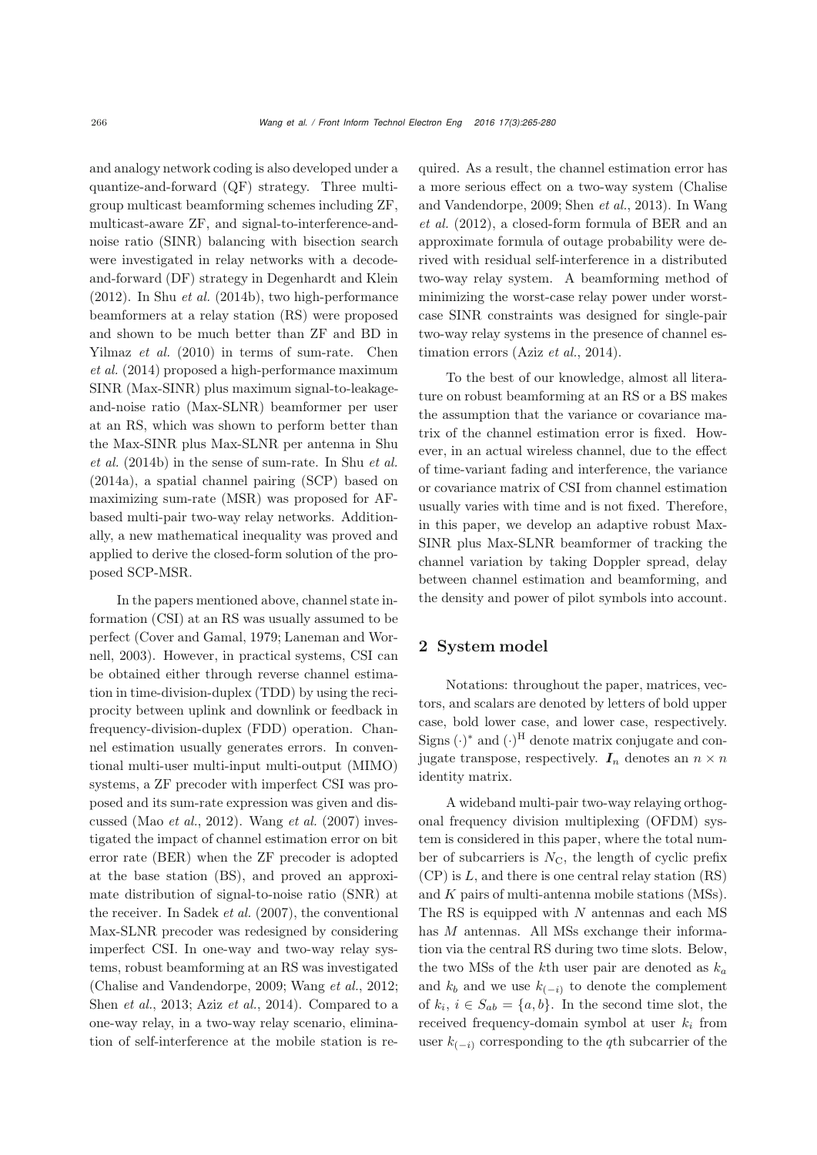and analogy network coding is also developed under a quantize-and-forward (QF) strategy. Three multigroup multicast beamforming schemes including ZF, multicast-aware ZF, and signal-to-interference-andnoise ratio (SINR) balancing with bisection search were investigated in relay networks with a decodeand-forward (DF) strategy in [Degenhardt and Klein](#page-9-5) [\(2012](#page-9-5)). In Shu *[et al.](#page-10-6)* [\(2014b](#page-10-6)), two high-performance beamformers at a relay station (RS) were proposed and shown to be much better than ZF and BD in [Yilmaz](#page-10-5) *et al.* [\(2010](#page-10-5)[\)](#page-9-6) [in](#page-9-6) [terms](#page-9-6) [of](#page-9-6) [sum-rate.](#page-9-6) Chen *et al.* [\(2014](#page-9-6)) proposed a high-performance maximum SINR (Max-SINR) plus maximum signal-to-leakageand-noise ratio (Max-SLNR) beamformer per user at an RS, which was shown to perform better than the [Max-SINR](#page-10-6) [plus](#page-10-6) [Max-SLNR](#page-10-6) [per](#page-10-6) [antenna](#page-10-6) [in](#page-10-6) Shu *et al.* [\(2014b\)](#page-10-6) in the sense of sum-rate. In Shu *[et al.](#page-10-7)* [\(2014a](#page-10-7)), a spatial channel pairing (SCP) based on maximizing sum-rate (MSR) was proposed for AFbased multi-pair two-way relay networks. Additionally, a new mathematical inequality was proved and applied to derive the closed-form solution of the proposed SCP-MSR.

In the papers mentioned above, channel state information (CSI) at an RS was usually assumed to be per[fect](#page-9-1) [\(Cover and Gamal](#page-9-0)[,](#page-9-1) [1979](#page-9-0)[;](#page-9-1) Laneman and Wornell, [2003](#page-9-1)). However, in practical systems, CSI can be obtained either through reverse channel estimation in time-division-duplex (TDD) by using the reciprocity between uplink and downlink or feedback in frequency-division-duplex (FDD) operation. Channel estimation usually generates errors. In conventional multi-user multi-input multi-output (MIMO) systems, a ZF precoder with imperfect CSI was proposed and its sum-rate expression was given and discussed (Mao *[et al.](#page-9-7)*, [2012](#page-9-7)). [Wang](#page-10-8) *et al.* [\(2007\)](#page-10-8) investigated the impact of channel estimation error on bit error rate (BER) when the ZF precoder is adopted at the base station (BS), and proved an approximate distribution of signal-to-noise ratio (SNR) at the receiver. In [Sadek](#page-10-9) *et al.* [\(2007](#page-10-9)), the conventional Max-SLNR precoder was redesigned by considering imperfect CSI. In one-way and two-way relay systems, robust beamforming at an RS was investigated [\(Chalise and Vandendorpe](#page-9-8), [2009](#page-9-8); [Wang](#page-10-10) *et al.*, [2012;](#page-10-10) [Shen](#page-10-11) *et al.*, [2013;](#page-10-11) Aziz *[et al.](#page-9-9)*, [2014\)](#page-9-9). Compared to a one-way relay, in a two-way relay scenario, elimination of self-interference at the mobile station is required. As a result, the channel estimation error has a more serious e[ffect](#page-9-8) [on](#page-9-8) [a](#page-9-8) [two-way](#page-9-8) [system](#page-9-8) [\(](#page-9-8)Chalise and [Vandendorpe,](#page-10-10) [2009](#page-9-8)[;](#page-10-10) [Shen](#page-10-11) *et al.*, [2013\)](#page-10-11). In Wang *et al.* [\(2012\)](#page-10-10), a closed-form formula of BER and an approximate formula of outage probability were derived with residual self-interference in a distributed two-way relay system. A beamforming method of minimizing the worst-case relay power under worstcase SINR constraints was designed for single-pair two-way relay systems in the presence of channel estimation errors (Aziz *[et al.](#page-9-9)*, [2014\)](#page-9-9).

To the best of our knowledge, almost all literature on robust beamforming at an RS or a BS makes the assumption that the variance or covariance matrix of the channel estimation error is fixed. However, in an actual wireless channel, due to the effect of time-variant fading and interference, the variance or covariance matrix of CSI from channel estimation usually varies with time and is not fixed. Therefore, in this paper, we develop an adaptive robust Max-SINR plus Max-SLNR beamformer of tracking the channel variation by taking Doppler spread, delay between channel estimation and beamforming, and the density and power of pilot symbols into account.

### 2 System model

Notations: throughout the paper, matrices, vectors, and scalars are denoted by letters of bold upper case, bold lower case, and lower case, respectively. Signs  $(\cdot)^*$  and  $(\cdot)^H$  denote matrix conjugate and conjugate transpose, respectively.  $I_n$  denotes an  $n \times n$ identity matrix.

A wideband multi-pair two-way relaying orthogonal frequency division multiplexing (OFDM) system is considered in this paper, where the total number of subcarriers is  $N_{\rm C}$ , the length of cyclic prefix  $(CP)$  is L, and there is one central relay station  $(RS)$ and K pairs of multi-antenna mobile stations (MSs). The RS is equipped with N antennas and each MS has M antennas. All MSs exchange their information via the central RS during two time slots. Below, the two MSs of the kth user pair are denoted as  $k_a$ and  $k_b$  and we use  $k_{(-i)}$  to denote the complement of  $k_i$ ,  $i \in S_{ab} = \{a, b\}$ . In the second time slot, the received frequency-domain symbol at user  $k_i$  from user  $k_{(-i)}$  corresponding to the qth subcarrier of the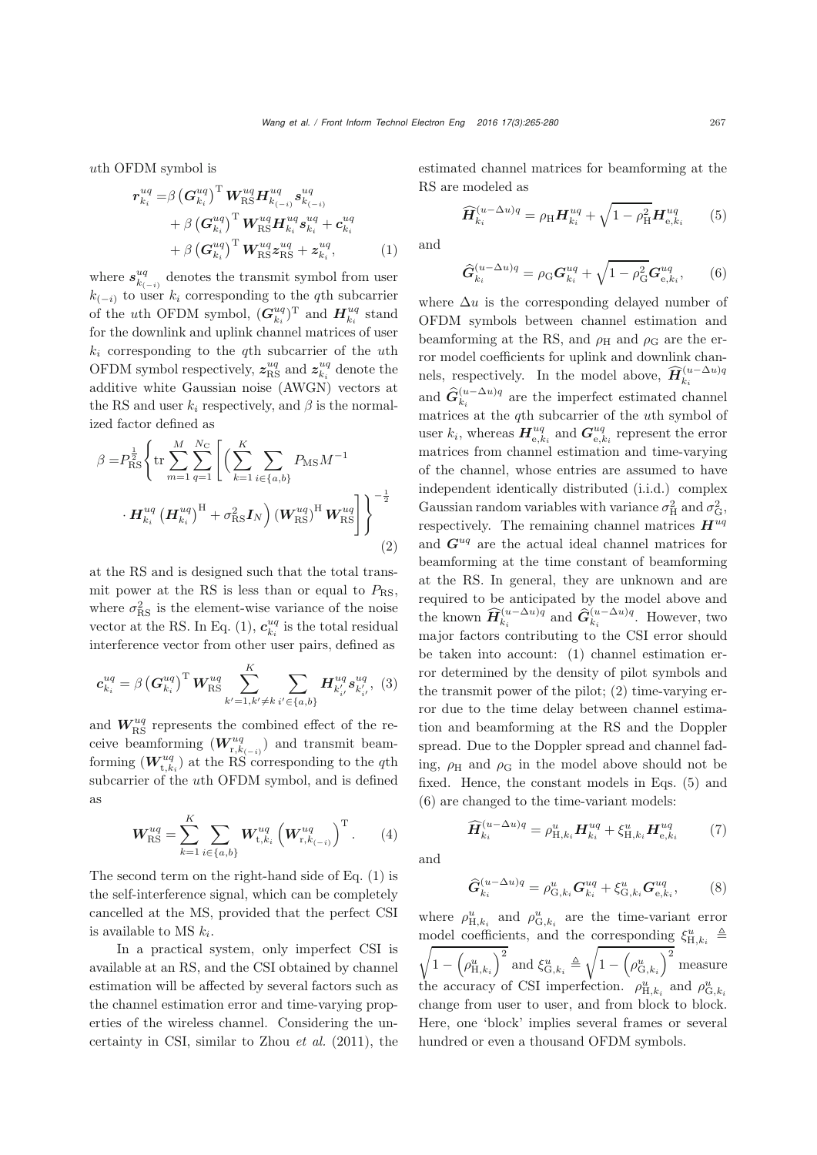uth OFDM symbol is

$$
r_{k_i}^{uq} = \beta \left(\mathbf{G}_{k_i}^{uq}\right)^{\mathrm{T}} \mathbf{W}_{\mathrm{RS}}^{uq} \mathbf{H}_{k_{(-i)}}^{uq} s_{k_{(-i)}}^{uq} + \beta \left(\mathbf{G}_{k_i}^{uq}\right)^{\mathrm{T}} \mathbf{W}_{\mathrm{RS}}^{uq} \mathbf{H}_{k_i}^{uq} s_{k_i}^{uq} + c_{k_i}^{uq} + \beta \left(\mathbf{G}_{k_i}^{uq}\right)^{\mathrm{T}} \mathbf{W}_{\mathrm{RS}}^{uq} z_{\mathrm{RS}}^{uq} + z_{k_i}^{uq}, \tag{1}
$$

where  $s_{k_{(-i)}}^{uq}$  denotes the transmit symbol from user  $k_{(-i)}$  to user  $k_i$  corresponding to the q<sup>th</sup> subcarrier of the *u*th OFDM symbol,  $(G_{k_i}^{uq})^{\text{T}}$  and  $H_{k_i}^{uq}$  stand for the downlink and uplink channel matrices of user  $k_i$  corresponding to the qth subcarrier of the uth OFDM symbol respectively,  $z_{\text{RS}}^{uq}$  and  $z_{k_i}^{uq}$  denote the additive white Gaussian noise (AWGN) vectors at the RS and user  $k_i$  respectively, and  $\beta$  is the normalized factor defined as

$$
\beta = P_{\rm RS}^{\frac{1}{2}} \left\{ \text{tr} \sum_{m=1}^{M} \sum_{q=1}^{N_{\rm C}} \left[ \left( \sum_{k=1}^{K} \sum_{i \in \{a,b\}} P_{\rm MS} M^{-1} \right. \right. \left. \cdot \mathbf{H}_{k_i}^{uq} \left( \mathbf{H}_{k_i}^{uq} \right)^{\rm H} + \sigma_{\rm RS}^2 \mathbf{I}_N \right) \left( \mathbf{W}_{\rm RS}^{uq} \right)^{\rm H} \mathbf{W}_{\rm RS}^{uq} \right] \right\}^{-\frac{1}{2}} \tag{2}
$$

at the RS and is designed such that the total transmit power at the RS is less than or equal to  $P_{\rm RS}$ , where  $\sigma_{\text{RS}}^2$  is the element-wise variance of the noise vector at the RS. In Eq. [\(1\)](#page-2-0),  $c_{k_i}^{uq}$  is the total residual interference vector from other user pairs, defined as

$$
\mathbf{c}_{k_i}^{uq} = \beta \left(\mathbf{G}_{k_i}^{uq}\right)^{\mathrm{T}} \mathbf{W}_{\mathrm{RS}}^{uq} \sum_{k'=1,k'\neq k}^{K} \sum_{i'\in\{a,b\}} \mathbf{H}_{k'_{i'}}^{uq} s_{k'_{i'}}^{uq}, \quad (3)
$$

and  $W_{\rm RS}^{uq}$  represents the combined effect of the receive beamforming  $(W_{r,k_{(-i)}}^{uq})$  and transmit beamforming  $(W^{uq}_{t,k_i})$  at the RS corresponding to the q<sup>th</sup> subcarrier of the uth OFDM symbol, and is defined as

$$
W_{\rm RS}^{uq} = \sum_{k=1}^{K} \sum_{i \in \{a,b\}} W_{t,k_i}^{uq} \left( W_{r,k_{(-i)}}^{uq} \right)^{\rm T} . \tag{4}
$$

The second term on the right-hand side of Eq. [\(1\)](#page-2-0) is the self-interference signal, which can be completely cancelled at the MS, provided that the perfect CSI is available to MS  $k_i$ .

In a practical system, only imperfect CSI is available at an RS, and the CSI obtained by channel estimation will be affected by several factors such as the channel estimation error and time-varying properties of the wireless channel. Considering the uncertainty in CSI, similar to [Zhou](#page-10-12) *et al.* [\(2011\)](#page-10-12), the

estimated channel matrices for beamforming at the RS are modeled as

<span id="page-2-1"></span>
$$
\widehat{H}_{k_i}^{(u-\Delta u)q} = \rho_{\rm H} H_{k_i}^{uq} + \sqrt{1 - \rho_{\rm H}^2} H_{e,k_i}^{uq} \tag{5}
$$

<span id="page-2-0"></span>and

<span id="page-2-2"></span>
$$
\widehat{G}_{k_i}^{(u-\Delta u)q} = \rho_{\rm G} \mathbf{G}_{k_i}^{uq} + \sqrt{1 - \rho_{\rm G}^2} \mathbf{G}_{e,k_i}^{uq},\qquad(6)
$$

where  $\Delta u$  is the corresponding delayed number of OFDM symbols between channel estimation and beamforming at the RS, and  $\rho_H$  and  $\rho_G$  are the error model coefficients for uplink and downlink channels, respectively. In the model above,  $\widehat{H}_{k_i}^{(u-\Delta u)q}$ and  $\hat{G}_{k_i}^{(u-\Delta u)q}$  are the imperfect estimated channel matrices at the qth subcarrier of the uth symbol of user  $k_i$ , whereas  $\mathbf{H}^{uq}_{e,k_i}$  and  $\mathbf{G}^{uq}_{e,k_i}$  represent the error matrices from channel estimation and time-varying of the channel, whose entries are assumed to have independent identically distributed (i.i.d.) complex Gaussian random variables with variance  $\sigma_H^2$  and  $\sigma_G^2$ , respectively. The remaining channel matrices  $H^{uq}$ and *G*uq are the actual ideal channel matrices for beamforming at the time constant of beamforming at the RS. In general, they are unknown and are required to be anticipated by the model above and the known  $\widehat{H}_{k_i}^{(u-\Delta u)q}$  and  $\widehat{G}_{k_i}^{(u-\Delta u)q}$ . However, two major factors contributing to the CSI error should be taken into account: (1) channel estimation error determined by the density of pilot symbols and the transmit power of the pilot; (2) time-varying error due to the time delay between channel estimation and beamforming at the RS and the Doppler spread. Due to the Doppler spread and channel fading,  $\rho_H$  and  $\rho_G$  in the model above should not be fixed. Hence, the constant models in Eqs. [\(5\)](#page-2-1) and [\(6\)](#page-2-2) are changed to the time-variant models:

<span id="page-2-5"></span>and

<span id="page-2-3"></span>
$$
\widehat{H}_{k_i}^{(u-\Delta u)q} = \rho_{\mathrm{H},k_i}^{u} H_{k_i}^{uq} + \xi_{\mathrm{H},k_i}^{u} H_{\mathrm{e},k_i}^{uq} \tag{7}
$$

<span id="page-2-4"></span>
$$
\hat{G}_{k_i}^{(u-\Delta u)q} = \rho_{G,k_i}^u \mathbf{G}_{k_i}^{uq} + \xi_{G,k_i}^u \mathbf{G}_{e,k_i}^{uq},\tag{8}
$$

where  $\rho_{H,k_i}^u$  and  $\rho_{G,k_i}^u$  are the time-variant error model coefficients, and the corresponding  $\xi_{H,k_i}^u \triangleq$  $\boxed{1 - \left(\rho_{\text{H},k_i}^u\right)^2}$  and  $\xi_{\text{G},k_i}^u \triangleq \sqrt{\frac{2}{\pi}}$  $\left(1-\left(\rho_{{\rm G},k_i}^u\right)^2\,{\rm measure}\right)$ the accuracy of CSI imperfection.  $\rho_{H,k_i}^u$  and  $\rho_{G,k_i}^u$ change from user to user, and from block to block. Here, one 'block' implies several frames or several hundred or even a thousand OFDM symbols.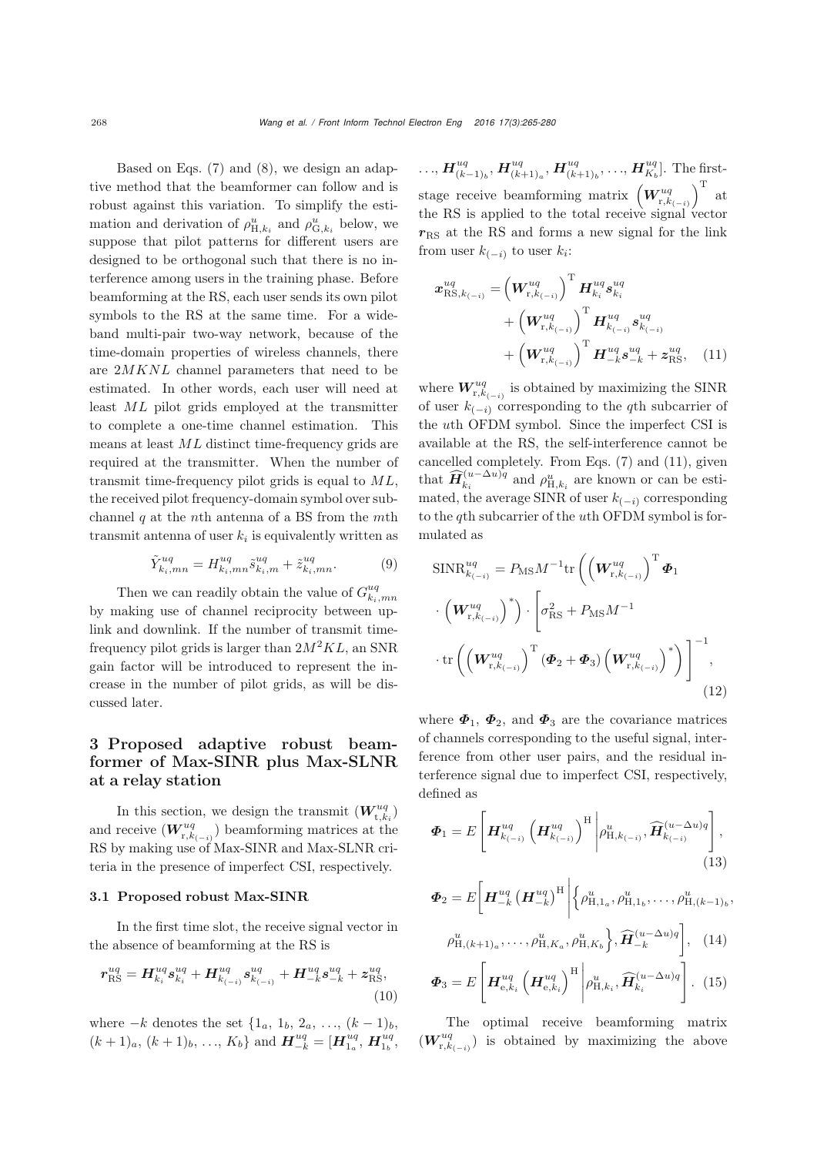Based on Eqs. [\(7\)](#page-2-3) and [\(8\)](#page-2-4), we design an adaptive method that the beamformer can follow and is robust against this variation. To simplify the estimation and derivation of  $\rho_{H,k_i}^u$  and  $\rho_{G,k_i}^u$  below, we suppose that pilot patterns for different users are designed to be orthogonal such that there is no interference among users in the training phase. Before beamforming at the RS, each user sends its own pilot symbols to the RS at the same time. For a wideband multi-pair two-way network, because of the time-domain properties of wireless channels, there are 2MKNL channel parameters that need to be estimated. In other words, each user will need at least ML pilot grids employed at the transmitter to complete a one-time channel estimation. This means at least ML distinct time-frequency grids are required at the transmitter. When the number of transmit time-frequency pilot grids is equal to  $ML$ , the received pilot frequency-domain symbol over subchannel  $q$  at the *n*<sup>th</sup> antenna of a BS from the *m*<sup>th</sup> transmit antenna of user  $k_i$  is equivalently written as

$$
\tilde{Y}_{k_i,mn}^{uq} = H_{k_i,mn}^{uq} \tilde{s}_{k_i,m}^{uq} + \tilde{z}_{k_i,mn}^{uq}.
$$
 (9)

Then we can readily obtain the value of  $G^{uq}_{k_i,mn}$ by making use of channel reciprocity between uplink and downlink. If the number of transmit timefrequency pilot grids is larger than  $2M^2KL$ , an SNR gain factor will be introduced to represent the increase in the number of pilot grids, as will be discussed later.

## 3 Proposed adaptive robust beamformer of Max-SINR plus Max-SLNR at a relay station

In this section, we design the transmit  $(\boldsymbol{W}_{\text{t},k_{i}}^{uq})$ and receive  $(W^{uq}_{r,k_{(-i)}})$  beamforming matrices at the RS by making use of Max-SINR and Max-SLNR criteria in the presence of imperfect CSI, respectively.

#### 3.1 Proposed robust Max-SINR

In the first time slot, the receive signal vector in the absence of beamforming at the RS is

$$
r_{\rm RS}^{uq} = H_{k_i}^{uq} s_{k_i}^{uq} + H_{k_{(-i)}}^{uq} s_{k_{(-i)}}^{uq} + H_{-k}^{uq} s_{-k}^{uq} + z_{\rm RS}^{uq},\tag{10}
$$

where  $-k$  denotes the set  $\{1_a, 1_b, 2_a, ..., (k-1)_b,$  $(k+1)<sub>a</sub>, (k+1)<sub>b</sub>, ..., K<sub>b</sub>$  and  $\boldsymbol{H}_{-k}^{uq} = [\boldsymbol{H}_{1_{a}}^{uq}, \boldsymbol{H}_{1_{b}}^{uq}]$ 

 $\ldots$ ,  $\bm{H}^{uq}_{(k-1)_b}$ ,  $\bm{H}^{uq}_{(k+1)_a}$ ,  $\bm{H}^{uq}_{(k+1)_b}$ ,  $\ldots$ ,  $\bm{H}^{uq}_{K_b}$ ]. The firststage receive beamforming matrix  $\left(W^{uq}_{r,k_{(-i)}}\right)$  $\Big)^{\mathrm{T}}$  at the RS is applied to the total receive signal vector  $r_{\rm RS}$  at the RS and forms a new signal for the link from user  $k_{(-i)}$  to user  $k_i$ :

<span id="page-3-0"></span>
$$
\mathbf{x}_{\text{RS},k_{(-i)}}^{uq} = \left(\mathbf{W}_{\text{r},k_{(-i)}}^{uq}\right)^{\text{T}} \mathbf{H}_{k_i}^{uq} \mathbf{s}_{k_i}^{uq} + \left(\mathbf{W}_{\text{r},k_{(-i)}}^{uq}\right)^{\text{T}} \mathbf{H}_{k_{(-i)}}^{uq} \mathbf{s}_{k_{(-i)}}^{uq} + \left(\mathbf{W}_{\text{r},k_{(-i)}}^{uq}\right)^{\text{T}} \mathbf{H}_{-k}^{uq} \mathbf{s}_{-k}^{uq} + \mathbf{z}_{\text{RS}}^{uq}, \quad (11)
$$

where  $\boldsymbol{W}^{uq}_{\mathrm{r},k_{(-i)}}$  is obtained by maximizing the SINR of user  $k_{(-i)}$  corresponding to the qth subcarrier of the uth OFDM symbol. Since the imperfect CSI is available at the RS, the self-interference cannot be cancelled completely. From Eqs. [\(7\)](#page-2-3) and [\(11\)](#page-3-0), given that  $\widehat{H}_{k_i}^{(u-\Delta u)q}$  and  $\rho_{H,k_i}^u$  are known or can be estimated, the average SINR of user  $k_{(-i)}$  corresponding to the qth subcarrier of the uth OFDM symbol is formulated as

$$
\begin{aligned}\n\text{SINR}_{k_{(-i)}}^{uq} &= P_{\text{MS}} M^{-1} \text{tr} \left( \left( \boldsymbol{W}_{\text{r},k_{(-i)}}^{uq} \right)^{\text{T}} \boldsymbol{\Phi}_{1} \\
&\cdot \left( \boldsymbol{W}_{\text{r},k_{(-i)}}^{uq} \right)^{*} \right) \cdot \left[ \sigma_{\text{RS}}^{2} + P_{\text{MS}} M^{-1} \\
&\cdot \text{tr} \left( \left( \boldsymbol{W}_{\text{r},k_{(-i)}}^{uq} \right)^{\text{T}} \left( \boldsymbol{\Phi}_{2} + \boldsymbol{\Phi}_{3} \right) \left( \boldsymbol{W}_{\text{r},k_{(-i)}}^{uq} \right)^{*} \right) \right]^{-1},\n\end{aligned} \tag{12}
$$

<span id="page-3-1"></span>where  $\Phi_1$ ,  $\Phi_2$ , and  $\Phi_3$  are the covariance matrices of channels corresponding to the useful signal, interference from other user pairs, and the residual interference signal due to imperfect CSI, respectively, defined as

$$
\boldsymbol{\Phi}_{1} = E\left[\boldsymbol{H}_{k_{(-i)}}^{uq} \left(\boldsymbol{H}_{k_{(-i)}}^{uq}\right)^{\mathrm{H}} \middle| \rho_{\mathrm{H},k_{(-i)}}^{u}, \widehat{\boldsymbol{H}}_{k_{(-i)}}^{(u-\Delta u)q} \right],\tag{13}
$$

$$
\boldsymbol{\Phi}_2 = E \bigg[ \boldsymbol{H}_{-k}^{uq} \left( \boldsymbol{H}_{-k}^{uq} \right)^{\mathrm{H}} \bigg| \bigg\{ \rho_{\mathrm{H}, 1_a}^{u}, \rho_{\mathrm{H}, 1_b}^{u}, \dots, \rho_{\mathrm{H}, (k-1)_b}^{u},
$$

$$
\rho_{H,(k+1)_a}^u, \dots, \rho_{H,K_a}^u, \rho_{H,K_b}^u \left\}, \widehat{H}_{-k}^{(u-\Delta u)q} \right], \quad (14)
$$

$$
\boldsymbol{\Phi}_3 = E\left[\boldsymbol{H}_{\mathrm{e},k_i}^{uq} \left(\boldsymbol{H}_{\mathrm{e},k_i}^{uq}\right)^{\mathrm{H}} \middle| \rho_{\mathrm{H},k_i}^{u}, \widehat{\boldsymbol{H}}_{k_i}^{(u-\Delta u)q}\right]. \tag{15}
$$

The optimal receive beamforming matrix  $(W^{uq}_{r,k_{(-i)}})$  is obtained by maximizing the above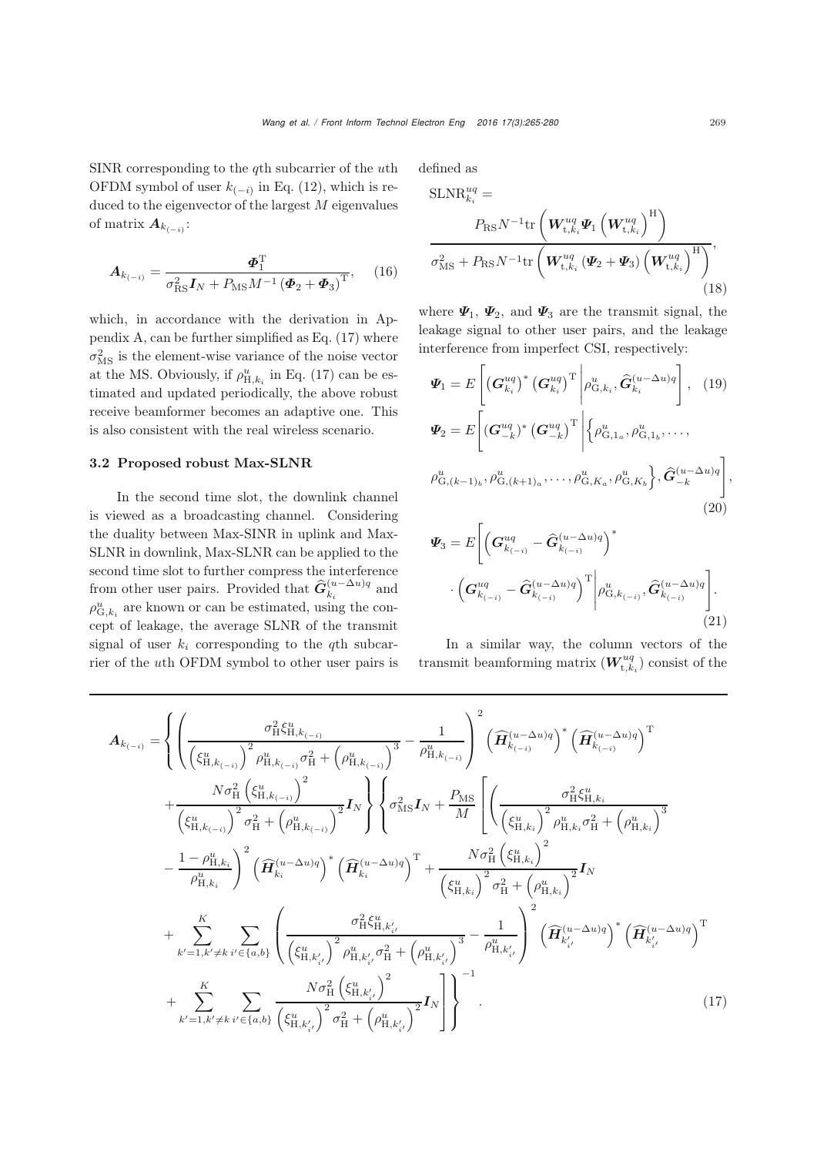SINR corresponding to the  $q$ th subcarrier of the  $u$ th OFDM symbol of user  $k_{(-i)}$  in Eq. [\(12\)](#page-3-1), which is reduced to the eigenvector of the largest  $M$  eigenvalues of matrix  $A_{k_{(-i)}}$ :

$$
\boldsymbol{A}_{k_{(-i)}} = \frac{\boldsymbol{\Phi}_1^{\mathrm{T}}}{\sigma_{\mathrm{RS}}^2 \boldsymbol{I}_N + P_{\mathrm{MS}} M^{-1} \left(\boldsymbol{\Phi}_2 + \boldsymbol{\Phi}_3\right)^{\mathrm{T}}},\qquad(16)
$$

which, in accordance with the derivation in Appendix A, can be further simplified as Eq. [\(17\)](#page-4-0) where  $\sigma_{\text{MS}}^2$  is the element-wise variance of the noise vector at the MS. Obviously, if  $\rho_{\mathrm{H},k_{i}}^{u}$  in Eq. [\(17\)](#page-4-0) can be estimated and updated periodically, the above robust receive beamformer becomes an adaptive one. This is also consistent with the real wireless scenario.

#### 3.2 Proposed robust Max-SLNR

In the second time slot, the downlink channel is viewed as a broadcasting channel. Considering the duality between Max-SINR in uplink and Max-SLNR in downlink, Max-SLNR can be applied to the second time slot to further compress the interference from other user pairs. Provided that  $\hat{G}_{k_i}^{(u-\Delta u)q}$  and  $\rho_{\mathrm{G},k_i}^u$  are known or can be estimated, using the concept of leakage, the average SLNR of the transmit signal of user  $k_i$  corresponding to the qth subcarrier of the uth OFDM symbol to other user pairs is defined as SLNRU<sub>que</sub>

SLNR<sub>k<sub>i</sub></sub><sup>uq</sup> =  
\n
$$
P_{\text{RS}} N^{-1} \text{tr} \left( \boldsymbol{W}_{t,k_i}^{uq} \boldsymbol{\Psi}_1 \left( \boldsymbol{W}_{t,k_i}^{uq} \right)^{\text{H}} \right)
$$
\n
$$
\sigma_{\text{MS}}^2 + P_{\text{RS}} N^{-1} \text{tr} \left( \boldsymbol{W}_{t,k_i}^{uq} \left( \boldsymbol{\Psi}_2 + \boldsymbol{\Psi}_3 \right) \left( \boldsymbol{W}_{t,k_i}^{uq} \right)^{\text{H}} \right), \tag{18}
$$

<span id="page-4-1"></span>where  $\Psi_1$ ,  $\Psi_2$ , and  $\Psi_3$  are the transmit signal, the leakage signal to other user pairs, and the leakage interference from imperfect CSI, respectively:

$$
\Psi_{1} = E\left[ \left( \mathbf{G}_{k_{i}}^{uq} \right)^{*} \left( \mathbf{G}_{k_{i}}^{uq} \right)^{\mathrm{T}} \middle| \rho_{\mathrm{G},k_{i}}^{u}, \widehat{\mathbf{G}}_{k_{i}}^{(u-\Delta u)q} \right], \quad (19)
$$
\n
$$
\Psi_{2} = E\left[ \left( \mathbf{G}_{-k}^{uq} \right)^{*} \left( \mathbf{G}_{-k}^{uq} \right)^{\mathrm{T}} \middle| \left\{ \rho_{\mathrm{G},1_{a}}^{u}, \rho_{\mathrm{G},1_{b}}^{u}, \ldots, \right\}
$$
\n
$$
\rho_{\mathrm{G},(k-1)_{b}}^{u}, \rho_{\mathrm{G},(k+1)_{a}}^{u}, \ldots, \rho_{\mathrm{G},K_{a}}^{u}, \rho_{\mathrm{G},K_{b}}^{u} \right\}, \widehat{\mathbf{G}}_{-k}^{(u-\Delta u)q} \right], \quad (20)
$$

$$
\Psi_3 = E \Bigg[ \Big( G^{uq}_{k_{(-i)}} - \widehat{G}^{(u-\Delta u)q}_{k_{(-i)}} \Big)^* \cdot \Big( G^{uq}_{k_{(-i)}} - \widehat{G}^{(u-\Delta u)q}_{k_{(-i)}} \Big)^{\mathrm{T}} \Bigg| \rho^u_{\mathcal{G},k_{(-i)}}, \widehat{G}^{(u-\Delta u)q}_{k_{(-i)}} \Bigg]. \tag{21}
$$

<span id="page-4-0"></span>In a similar way, the column vectors of the transmit beamforming matrix  $(W_{\text{t},k_{i}}^{uq})$  consist of the

$$
A_{k_{(-i)}} = \left\{ \left( \frac{\sigma_{H}^{2} \xi_{H,k_{(-i)}}^{u}}{\left(\xi_{H,k_{(-i)}}^{u}\right)^{2} \rho_{H,k_{(-i)}}^{u} \sigma_{H}^{2} + \left(\rho_{H,k_{(-i)}}^{u}\right)^{3}} - \frac{1}{\rho_{H,k_{(-i)}}^{u}} \right)^{2} \left( \widehat{H}_{k_{(-i)}}^{(u-\Delta u)q} \right)^{*} \left( \widehat{H}_{k_{(-i)}}^{(u-\Delta u)q} \right)^{T} \right. \\ \left. + \frac{N \sigma_{H}^{2} \left(\xi_{H,k_{(-i)}}^{u}\right)^{2}}{\left(\xi_{H,k_{(-i)}}^{u}\right)^{2} \sigma_{H}^{2} + \left(\rho_{H,k_{(-i)}}^{u}\right)^{2}} I_{N} \right\} \left\{ \sigma_{M}^{2} I_{N} + \frac{P_{M S}}{M} \left[ \left( \frac{\sigma_{H}^{2} \xi_{H,k_{i}}^{u}}{\left(\xi_{H,k_{i}}^{u}\right)^{2} \rho_{H,k_{i}}^{u} \sigma_{H}^{2} + \left(\rho_{H,k_{i}}^{u}\right)^{3}} - \frac{1 - \rho_{H,k_{i}}^{u}}{\rho_{H,k_{i}}^{u}} \right)^{2} \left(\widehat{H}_{k_{i}}^{(u-\Delta u)q}\right)^{*} \left(\widehat{H}_{k_{i}}^{(u-\Delta u)q}\right)^{T} + \frac{N \sigma_{H}^{2} \left(\xi_{H,k_{i}}^{u}}{\left(\xi_{H,k_{i}}^{u}\right)^{2} \sigma_{H}^{2} + \left(\rho_{H,k_{i}}^{u}\right)^{2}} I_{N} \right. \\ \left. + \sum_{k'=1,k'\neq k}^{K} \sum_{i'\in\{a,b\}} \left( \frac{\sigma_{H}^{2} \xi_{H,k'_{i}}^{u}}{\left(\xi_{H,k'_{i}}^{u}\right)^{2} \rho_{H,k'_{i}}^{u} \sigma_{H}^{2} + \left(\rho_{H,k'_{i'}}^{u}\right)^{3}} - \frac{1}{\rho_{H,k'_{i}}^{u}} \right)^{2} \left( \widehat{H}_{k'_{i}}^{(u-\Delta u)q} \right)^{*} \left( \widehat{H}_{k'_{i}}^{(u-\Delta u)q} \right)^{T} \right. \\ \left. + \sum_{k'=1,k'\ne
$$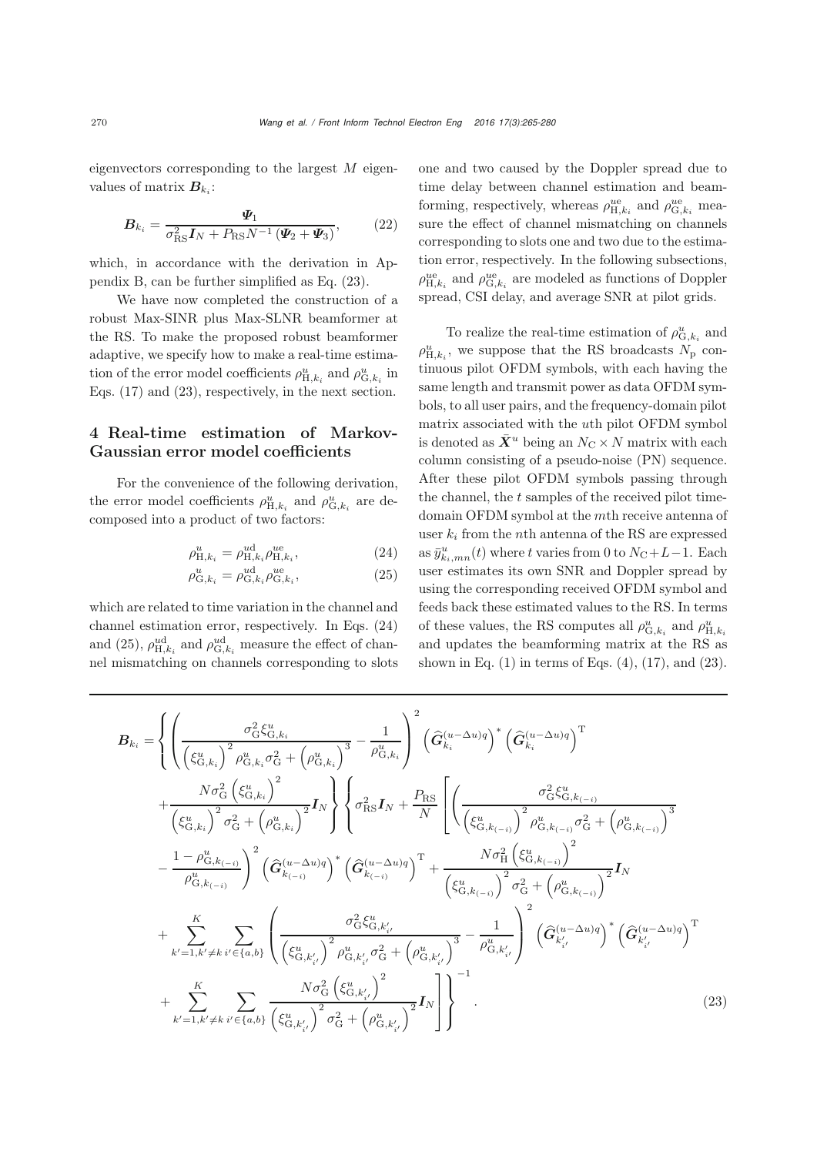eigenvectors corresponding to the largest  $M$  eigenvalues of matrix  $B_{k_i}$ :

$$
\boldsymbol{B}_{k_i} = \frac{\boldsymbol{\varPsi}_1}{\sigma_{\rm RS}^2 \boldsymbol{I}_N + P_{\rm RS} N^{-1} \left(\boldsymbol{\varPsi}_2 + \boldsymbol{\varPsi}_3\right)},\tag{22}
$$

which, in accordance with the derivation in Appendix B, can be further simplified as Eq. [\(23\)](#page-5-0).

We have now completed the construction of a robust Max-SINR plus Max-SLNR beamformer at the RS. To make the proposed robust beamformer adaptive, we specify how to make a real-time estimation of the error model coefficients  $\rho_{\mathrm{H},k_{i}}^{u}$  and  $\rho_{\mathrm{G},k_{i}}^{u}$  in Eqs. [\(17\)](#page-4-0) and [\(23\)](#page-5-0), respectively, in the next section.

## 4 Real-time estimation of Markov-Gaussian error model coefficients

For the convenience of the following derivation, the error model coefficients  $\rho_{\mathrm{H},k_{i}}^{u}$  and  $\rho_{\mathrm{G},k_{i}}^{u}$  are decomposed into a product of two factors:

$$
\rho_{\mathrm{H},k_i}^u = \rho_{\mathrm{H},k_i}^{ud} \rho_{\mathrm{H},k_i}^{ue},\tag{24}
$$

$$
\rho_{\mathcal{G},k_i}^u = \rho_{\mathcal{G},k_i}^{ud} \rho_{\mathcal{G},k_i}^{ue},\tag{25}
$$

which are related to time variation in the channel and channel estimation error, respectively. In Eqs. (24) and (25),  $\rho_{H,k_i}^{ud}$  and  $\rho_{G,k_i}^{ud}$  measure the effect of channel mismatching on channels corresponding to slots <span id="page-5-1"></span>one and two caused by the Doppler spread due to time delay between channel estimation and beamforming, respectively, whereas  $\rho_{\text{H},k_i}^{\text{ue}}$  and  $\rho_{\text{G},k_i}^{\text{ue}}$  measure the effect of channel mismatching on channels corresponding to slots one and two due to the estimation error, respectively. In the following subsections,  $\rho_{{\rm H},k_{i}}^{\rm ue}$  and  $\rho_{{\rm G},k_{i}}^{\rm ue}$  are modeled as functions of Doppler spread, CSI delay, and average SNR at pilot grids.

To realize the real-time estimation of  $\rho_{\mathrm{G},k_i}^u$  and  $\rho_{\textrm{H},k_i}^{u}$ , we suppose that the RS broadcasts  $N_{\textrm{p}}$  continuous pilot OFDM symbols, with each having the same length and transmit power as data OFDM symbols, to all user pairs, and the frequency-domain pilot matrix associated with the uth pilot OFDM symbol is denoted as  $\bar{X}^u$  being an  $N_{\rm C} \times N$  matrix with each column consisting of a pseudo-noise (PN) sequence. After these pilot OFDM symbols passing through the channel, the  $t$  samples of the received pilot timedomain OFDM symbol at the mth receive antenna of user  $k_i$  from the *n*th antenna of the RS are expressed as  $\bar{y}^u_{k_i,mn}(t)$  where t varies from 0 to  $N_{\text{C}}+L-1$ . Each user estimates its own SNR and Doppler spread by using the corresponding received OFDM symbol and feeds back these estimated values to the RS. In terms of these values, the RS computes all  $\rho_{\mathrm{G},k_{i}}^{u}$  and  $\rho_{\mathrm{H},k_{i}}^{u}$ and updates the beamforming matrix at the RS as shown in Eq.  $(1)$  in terms of Eqs.  $(4)$ ,  $(17)$ , and  $(23)$ .

<span id="page-5-0"></span>
$$
B_{k_{i}} = \left\{ \left( \frac{\sigma_{\rm G}^{2} \xi_{\rm G,k_{i}}^{u}}{\left(\xi_{\rm G,k_{i}}^{u}\right)^{2} \rho_{\rm G,k_{i}}^{u} \sigma_{\rm G}^{2} + \left(\rho_{\rm G,k_{i}}^{u}\right)^{3}} - \frac{1}{\rho_{\rm G,k_{i}}^{u}} \right)^{2} \left(\hat{G}_{k_{i}}^{(u-\Delta u)q}\right)^{*} \left(\hat{G}_{k_{i}}^{(u-\Delta u)q}\right)^{\rm T} \right. \\ \left. + \frac{N \sigma_{\rm G}^{2} \left(\xi_{\rm G,k_{i}}^{u}\right)^{2} \sigma_{\rm G}^{2} + \left(\rho_{\rm G,k_{i}}^{u}\right)^{2}}{\left(\xi_{\rm G,k_{i}}^{u}\right)^{2} \sigma_{\rm G}^{2} + \left(\rho_{\rm G,k_{i}}^{u}\right)^{2}} I_{N} \right\} \left\{ \sigma_{\rm RS}^{2} I_{N} + \frac{P_{\rm RS}}{N} \left[ \left( \frac{\sigma_{\rm G}^{2} \xi_{\rm G,k_{(-i)}}^{u}}{\left(\xi_{\rm G,k_{(-i)}}^{u}\right)^{2} \rho_{\rm G,k_{(-i)}}^{u} \sigma_{\rm G}^{2} + \left(\rho_{\rm G,k_{(-i)}}^{u}\right)^{3}} - \frac{1 - \rho_{\rm G,k_{(-i)}}^{u}}{\rho_{\rm G,k_{(-i)}}^{u}} \right)^{2} \left(\hat{G}_{k_{(-i)}}^{(u-\Delta u)q}\right)^{*} \left(\hat{G}_{k_{(-i)}}^{(u-\Delta u)q}\right)^{\rm T} + \frac{N \sigma_{\rm H}^{2} \left(\xi_{\rm G,k_{(-i)}}^{u}}{\left(\xi_{\rm G,k_{(-i)}}^{u}\right)^{2} \sigma_{\rm G}^{2} + \left(\rho_{\rm G,k_{(-i)}}^{u}\right)^{2}} I_{N} \right. \\ \left. + \sum_{k'=1,k'\neq k}^{K} \sum_{i'\in\{a,b\}} \left( \frac{\sigma_{\rm G}^{2} \xi_{\rm G,k'_{i'}}^{u}}{\left(\xi_{\rm G,k'_{i'}}^{u}\right)^{2} \rho_{\rm G,k'_{i'}}^{u} \sigma_{\rm G}^{2} + \left(\rho_{\rm G,k'_{i'}}^{u}\right)^{3}} - \frac{1}{\rho
$$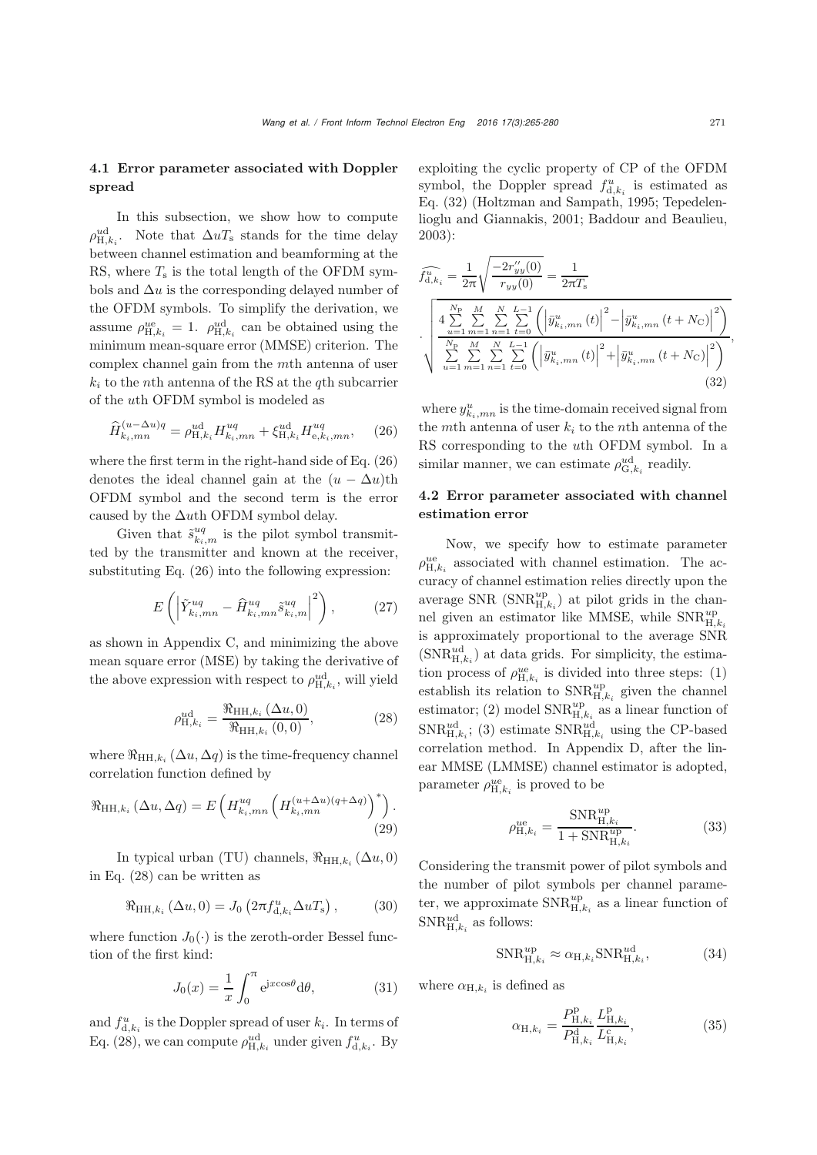#### 4.1 Error parameter associated with Doppler spread

In this subsection, we show how to compute  $\rho_{\mathrm{H},k_i}^{\mathrm{ud}}$ . Note that  $\Delta u T_{\mathrm{s}}$  stands for the time delay between channel estimation and beamforming at the RS, where  $T<sub>s</sub>$  is the total length of the OFDM symbols and  $\Delta u$  is the corresponding delayed number of the OFDM symbols. To simplify the derivation, we assume  $\rho_{H,k_i}^{ue} = 1$ .  $\rho_{H,k_i}^{ud}$  can be obtained using the minimum mean-square error (MMSE) criterion. The complex channel gain from the mth antenna of user  $k_i$  to the nth antenna of the RS at the qth subcarrier of the uth OFDM symbol is modeled as

$$
\widehat{H}_{k_i,mn}^{(u-\Delta u)q} = \rho_{\mathrm{H},k_i}^{\mathrm{ud}} H_{k_i,mn}^{uq} + \xi_{\mathrm{H},k_i}^{\mathrm{ud}} H_{\mathrm{e},k_i,mn}^{uq},\qquad(26)
$$

where the first term in the right-hand side of Eq. [\(26\)](#page-6-0) denotes the ideal channel gain at the  $(u - \Delta u)$ th OFDM symbol and the second term is the error caused by the  $\Delta u$ th OFDM symbol delay.

Given that  $\tilde{s}_{k_i,m}^{uq}$  is the pilot symbol transmitted by the transmitter and known at the receiver, substituting Eq. [\(26\)](#page-6-0) into the following expression:

$$
E\left(\left|\tilde{Y}_{k_i,mn}^{uq} - \hat{H}_{k_i,mn}^{uq}\tilde{s}_{k_i,m}^{uq}\right|^2\right),\qquad(27)
$$

as shown in Appendix C, and minimizing the above mean square error (MSE) by taking the derivative of the above expression with respect to  $\rho_{H,k_i}^{\text{ud}}$ , will yield

$$
\rho_{H,k_i}^{\text{ud}} = \frac{\Re_{HH,k_i} (\Delta u, 0)}{\Re_{HH,k_i} (0,0)},
$$
\n(28)

where  $\Re_{\text{HH},k_i}(\Delta u, \Delta q)$  is the time-frequency channel correlation function defined by

$$
\Re_{\mathrm{HH},k_i} \left( \Delta u, \Delta q \right) = E \left( H_{k_i,mn}^{uq} \left( H_{k_i,mn}^{(u+\Delta u)(q+\Delta q)} \right)^* \right). \tag{29}
$$

In typical urban (TU) channels,  $\Re_{HH,k_i}(\Delta u, 0)$ in Eq. [\(28\)](#page-6-1) can be written as

$$
\Re_{\mathrm{HH},k_i}(\Delta u,0) = J_0\left(2\pi f_{\mathrm{d},k_i}^u \Delta u T_{\mathrm{s}}\right),\tag{30}
$$

where function  $J_0(\cdot)$  is the zeroth-order Bessel function of the first kind:

$$
J_0(x) = \frac{1}{x} \int_0^{\pi} e^{jx\cos\theta} d\theta,
$$
 (31)

and  $f_{d,k_i}^u$  is the Doppler spread of user  $k_i$ . In terms of Eq. [\(28\)](#page-6-1), we can compute  $\rho_{H,k_i}^{ud}$  under given  $f_{d,k_i}^{u}$ . By exploiting the cyclic property of CP of the OFDM symbol, the Doppler spread  $f_{d,k_i}^u$  is estimated as Eq. [\(32\)](#page-6-2) [\(Holtzman and Sampath](#page-9-10), [1995](#page-9-10); Tepedelenlioglu and Giannakis, [2001;](#page-10-13) [Baddour and Beaulieu](#page-9-11),

2003):  
\n
$$
\widehat{f_{d,k_i}^u} = \frac{1}{2\pi} \sqrt{\frac{-2r_{yy}^{"}}{r_{yy}(0)}} = \frac{1}{2\pi T_s}
$$
\n
$$
\cdot \sqrt{\frac{4 \sum_{u=1}^{N_P} \sum_{m=1}^{M} \sum_{t=0}^{N-L-1} \left( \left| \bar{y}_{k_i,mn}^u(t) \right|^2 - \left| \bar{y}_{k_i,mn}^u(t + N_C) \right|^2 \right)}{\sum_{u=1}^{N_P} \sum_{m=1}^{M} \sum_{t=0}^{N-L-1} \left( \left| \bar{y}_{k_i,mn}^u(t) \right|^2 + \left| \bar{y}_{k_i,mn}^u(t + N_C) \right|^2 \right)} ,\tag{32}
$$

<span id="page-6-2"></span><span id="page-6-0"></span>where  $y_{k_i,mn}^u$  is the time-domain received signal from the mth antenna of user  $k_i$  to the nth antenna of the RS corresponding to the uth OFDM symbol. In a similar manner, we can estimate  $\rho_{G,k_i}^{ud}$  readily.

#### 4.2 Error parameter associated with channel estimation error

<span id="page-6-3"></span>Now, we specify how to estimate parameter  $\rho_{\mathrm{H},k_{i}}^{\mathrm{ue}}$  associated with channel estimation. The accuracy of channel estimation relies directly upon the average SNR  $(SNR_{H,k_i}^{up})$  at pilot grids in the channel given an estimator like MMSE, while  $\text{SNR}_{\text{H},k_i}^{up}$ is approximately proportional to the average SNR  $(SNR_{H,k_i}^{ud})$  at data grids. For simplicity, the estimation process of  $\rho_{H,k_i}^{ue}$  is divided into three steps: (1) establish its relation to  $\text{SNR}_{\text{H},k_i}^{up}$  given the channel estimator; (2) model  $\text{SNR}_{\text{H},k_i}^{up}$  as a linear function of  $SNR_{H,k_i}^{ud}$ ; (3) estimate  $SNR_{H,k_i}^{ud}$  using the CP-based correlation method. In Appendix D, after the linear MMSE (LMMSE) channel estimator is adopted, parameter  $\rho_{H,k_i}^{ue}$  is proved to be

$$
\rho_{\mathrm{H},k_{i}}^{ue} = \frac{\mathrm{SNR}_{\mathrm{H},k_{i}}^{up}}{1 + \mathrm{SNR}_{\mathrm{H},k_{i}}^{up}}.\tag{33}
$$

<span id="page-6-1"></span>Considering the transmit power of pilot symbols and the number of pilot symbols per channel parameter, we approximate  $\mathrm{SNR}_{\mathrm{H},k_{i}}^{up}$  as a linear function of  $\text{SNR}_{\text{H},k_i}^{\text{ud}}$  as follows:

$$
\text{SNR}_{\text{H},k_i}^{up} \approx \alpha_{\text{H},k_i} \text{SNR}_{\text{H},k_i}^{ud},\tag{34}
$$

where  $\alpha_{H,k_i}$  is defined as

<span id="page-6-4"></span>
$$
\alpha_{\mathrm{H},k_{i}} = \frac{P_{\mathrm{H},k_{i}}^{\mathrm{p}}}{P_{\mathrm{H},k_{i}}^{\mathrm{d}}} \frac{L_{\mathrm{H},k_{i}}^{\mathrm{p}}}{L_{\mathrm{H},k_{i}}^{\mathrm{c}}},\tag{35}
$$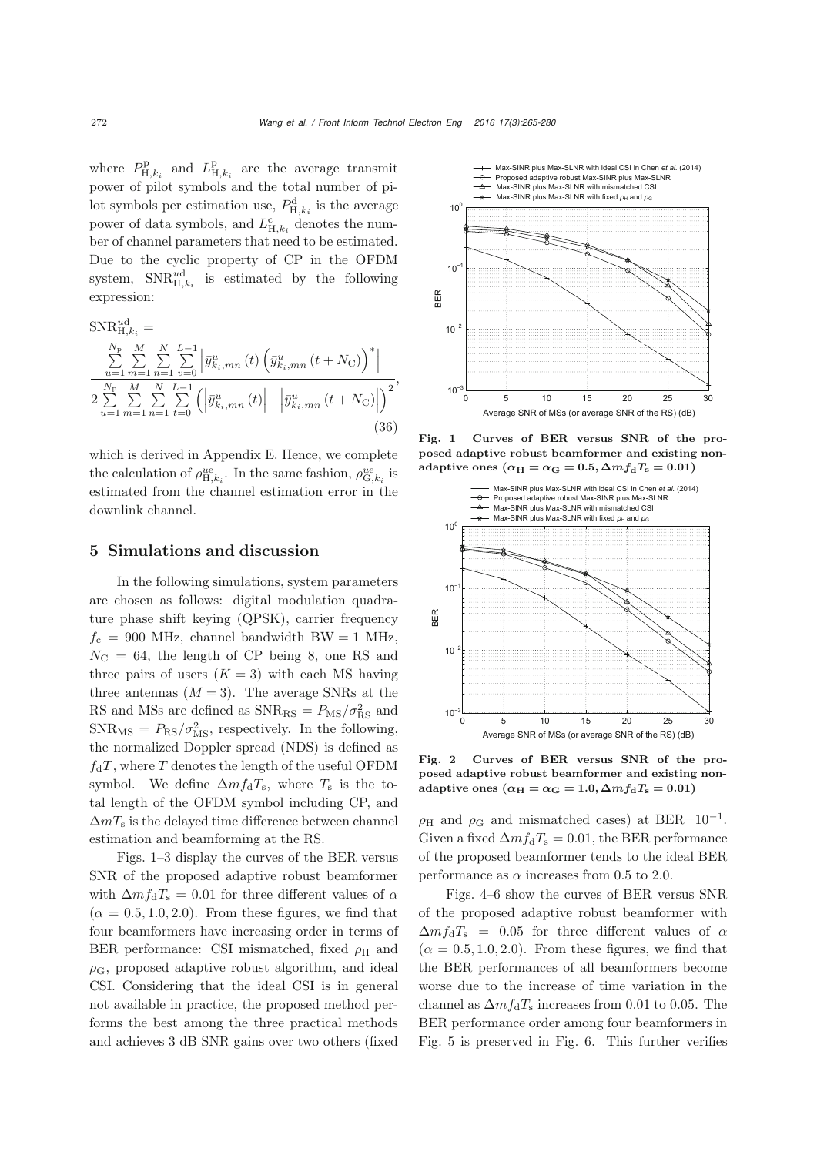where  $P_{\text{H},k_i}^{\text{p}}$  and  $L_{\text{H},k_i}^{\text{p}}$  are the average transmit power of pilot symbols and the total number of pilot symbols per estimation use,  $P_{H,k_i}^d$  is the average power of data symbols, and  $L_{\mathrm{H},k_i}^{\mathrm{c}}$  denotes the number of channel parameters that need to be estimated. Due to the cyclic property of CP in the OFDM system,  $SNR_{H,k_i}^{ud}$  is estimated by the following expression:

$$
SNR_{H,k_i}^{ud} = \frac{\sum_{u=1}^{N_p} \sum_{m=1}^{M} \sum_{v=0}^{N} \left| \bar{y}_{k_i,mn}^{u}(t) \left( \bar{y}_{k_i,mn}^{u}(t+N_{\rm C}) \right)^* \right|}{2 \sum_{u=1}^{N_p} \sum_{m=1}^{M} \sum_{n=1}^{N} \sum_{t=0}^{L-1} \left( \left| \bar{y}_{k_i,mn}^{u}(t) \right| - \left| \bar{y}_{k_i,mn}^{u}(t+N_{\rm C}) \right| \right)^2},
$$
\n(36)

which is derived in Appendix E. Hence, we complete the calculation of  $\rho_{H,k_i}^{ue}$ . In the same fashion,  $\rho_{G,k_i}^{ue}$  is estimated from the channel estimation error in the downlink channel.

#### 5 Simulations and discussion

In the following simulations, system parameters are chosen as follows: digital modulation quadrature phase shift keying (QPSK), carrier frequency  $f_c = 900$  MHz, channel bandwidth BW = 1 MHz,  $N_{\rm C}$  = 64, the length of CP being 8, one RS and three pairs of users  $(K = 3)$  with each MS having three antennas  $(M = 3)$ . The average SNRs at the RS and MSs are defined as  $\text{SNR}_{\text{RS}} = P_{\text{MS}} / \sigma_{\text{RS}}^2$  and  $\text{SNR}_{\text{MS}} = P_{\text{RS}} / \sigma_{\text{MS}}^2$ , respectively. In the following, the normalized Doppler spread (NDS) is defined as  $f_dT$ , where T denotes the length of the useful OFDM symbol. We define  $\Delta m f_{\rm d}T_{\rm s}$ , where  $T_{\rm s}$  is the total length of the OFDM symbol including CP, and  $\Delta mT_s$  is the delayed time difference between channel estimation and beamforming at the RS.

Figs. [1–](#page-7-0)[3](#page-8-0) display the curves of the BER versus SNR of the proposed adaptive robust beamformer with  $\Delta m f_{\rm d}T_{\rm s} = 0.01$  for three different values of  $\alpha$  $(\alpha = 0.5, 1.0, 2.0)$ . From these figures, we find that four beamformers have increasing order in terms of BER performance: CSI mismatched, fixed  $\rho_H$  and  $\rho_{\rm G}$ , proposed adaptive robust algorithm, and ideal CSI. Considering that the ideal CSI is in general not available in practice, the proposed method performs the best among the three practical methods and achieves 3 dB SNR gains over two others (fixed



<span id="page-7-0"></span>Fig. 1 Curves of BER versus SNR of the proposed adaptive robust beamformer and existing nonadaptive ones  $(\alpha_H = \alpha_G = 0.5, \Delta m f_d T_s = 0.01)$ 



Fig. 2 Curves of BER versus SNR of the proposed adaptive robust beamformer and existing nonadaptive ones  $(\alpha_H = \alpha_G = 1.0, \Delta m f_d T_s = 0.01)$ 

 $\rho_H$  and  $\rho_G$  and mismatched cases) at BER=10<sup>-1</sup>. Given a fixed  $\Delta m f_d T_s = 0.01$ , the BER performance of the proposed beamformer tends to the ideal BER performance as  $\alpha$  increases from 0.5 to 2.0.

Figs. [4–](#page-8-1)[6](#page-8-2) show the curves of BER versus SNR of the proposed adaptive robust beamformer with  $\Delta m f_{\rm d}T_{\rm s}$  = 0.05 for three different values of  $\alpha$  $(\alpha = 0.5, 1.0, 2.0)$ . From these figures, we find that the BER performances of all beamformers become worse due to the increase of time variation in the channel as  $\Delta m f_{\rm d}T_{\rm s}$  increases from 0.01 to 0.05. The BER performance order among four beamformers in Fig. [5](#page-8-3) is preserved in Fig. [6.](#page-8-2) This further verifies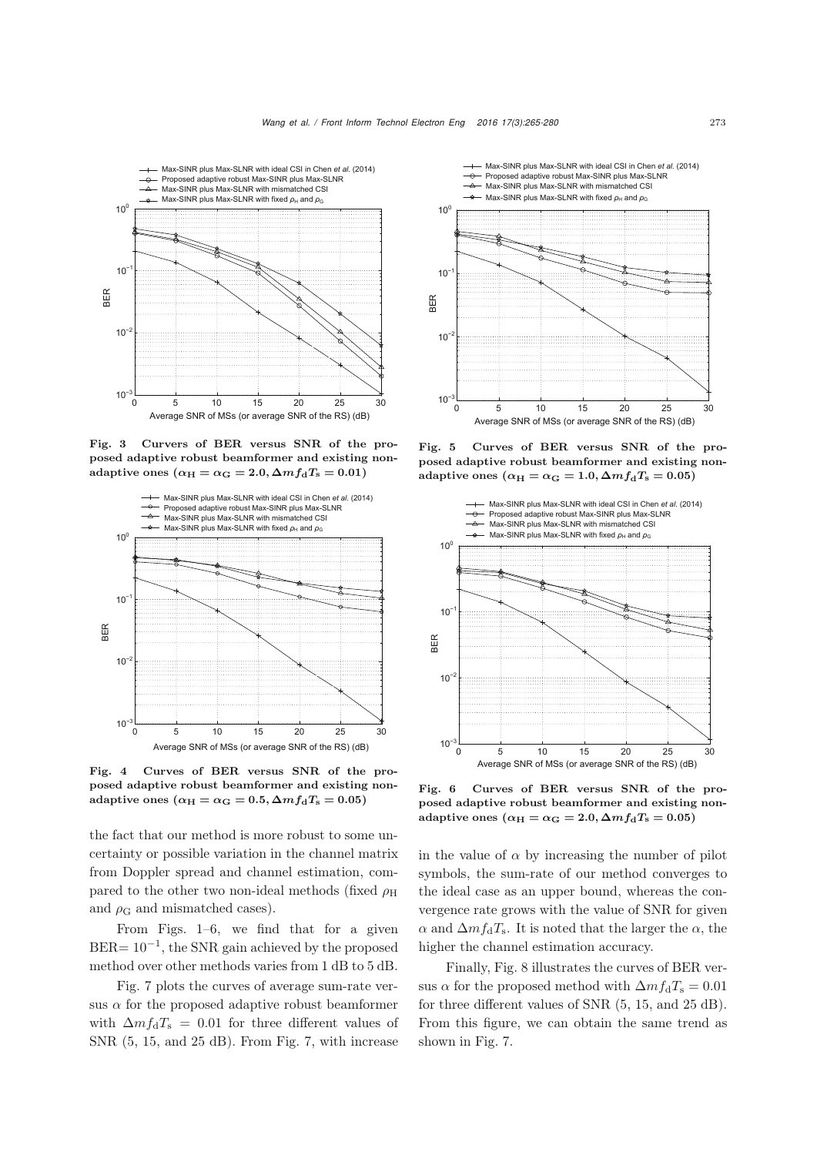

<span id="page-8-0"></span>Fig. 3 Curvers of BER versus SNR of the proposed adaptive robust beamformer and existing nonadaptive ones  $(\alpha_H = \alpha_G = 2.0, \Delta m f_d T_s = 0.01)$ 



<span id="page-8-1"></span>Fig. 4 Curves of BER versus SNR of the proposed adaptive robust beamformer and existing nonadaptive ones  $(\alpha_H = \alpha_G = 0.5, \Delta m f_d T_s = 0.05)$ 

the fact that our method is more robust to some uncertainty or possible variation in the channel matrix from Doppler spread and channel estimation, compared to the other two non-ideal methods (fixed  $\rho_H$ ) and  $\rho_{\rm G}$  and mismatched cases).

From Figs. [1](#page-7-0)[–6,](#page-8-2) we find that for a given BER=  $10^{-1}$ , the SNR gain achieved by the proposed method over other methods varies from 1 dB to 5 dB.

Fig. [7](#page-9-12) plots the curves of average sum-rate versus  $\alpha$  for the proposed adaptive robust beamformer with  $\Delta m f_{\rm d}T_{\rm s} = 0.01$  for three different values of SNR (5, 15, and 25 dB). From Fig. [7,](#page-9-12) with increase



<span id="page-8-3"></span>Fig. 5 Curves of BER versus SNR of the proposed adaptive robust beamformer and existing nonadaptive ones  $(\alpha_H = \alpha_G = 1.0, \Delta m f_d T_s = 0.05)$ 



<span id="page-8-2"></span>Fig. 6 Curves of BER versus SNR of the proposed adaptive robust beamformer and existing nonadaptive ones  $(\alpha_H = \alpha_G = 2.0, \Delta m f_d T_s = 0.05)$ 

in the value of  $\alpha$  by increasing the number of pilot symbols, the sum-rate of our method converges to the ideal case as an upper bound, whereas the convergence rate grows with the value of SNR for given  $\alpha$  and  $\Delta m f_{\rm d}T_{\rm s}$ . It is noted that the larger the  $\alpha$ , the higher the channel estimation accuracy.

Finally, Fig. [8](#page-9-13) illustrates the curves of BER versus  $\alpha$  for the proposed method with  $\Delta m f_d T_s = 0.01$ for three different values of SNR (5, 15, and 25 dB). From this figure, we can obtain the same trend as shown in Fig. [7.](#page-9-12)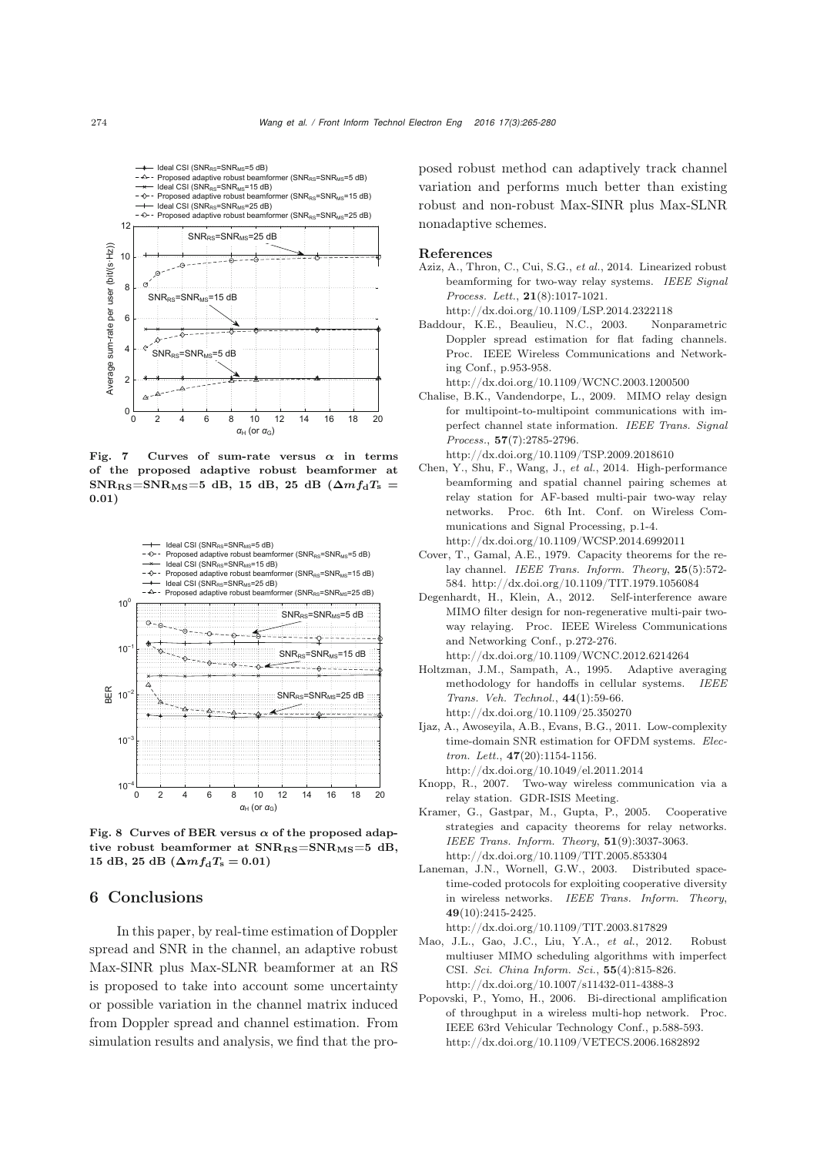

<span id="page-9-12"></span>Fig. 7 Curves of sum-rate versus *α* in terms of the proposed adaptive robust beamformer at  $SNR_{RS} = SNR_{MS} = 5$  dB, 15 dB, 25 dB ( $\Delta m f_d T_s$  = **0***.***01**)



<span id="page-9-13"></span>Fig. 8 Curves of BER versus  $\alpha$  of the proposed adaptive robust beamformer at  $SNR_{RS} = SNR_{MS} = 5$  dB,  $15$  dB,  $25$  dB  $(\Delta mf_dT_s = 0.01)$ 

### 6 Conclusions

In this paper, by real-time estimation of Doppler spread and SNR in the channel, an adaptive robust Max-SINR plus Max-SLNR beamformer at an RS is proposed to take into account some uncertainty or possible variation in the channel matrix induced from Doppler spread and channel estimation. From simulation results and analysis, we find that the proposed robust method can adaptively track channel variation and performs much better than existing robust and non-robust Max-SINR plus Max-SLNR nonadaptive schemes.

#### References

- <span id="page-9-9"></span>Aziz, A., Thron, C., Cui, S.G., *et al.*, 2014. Linearized robust beamforming for two-way relay systems. *IEEE Signal Process. Lett.*, 21(8):1017-1021. http://dx.doi.org/10.1109/LSP.2014.2322118
- <span id="page-9-11"></span>Baddour, K.E., Beaulieu, N.C., 2003. Nonparametric Doppler spread estimation for flat fading channels. Proc. IEEE Wireless Communications and Networking Conf., p.953-958.
	- http://dx.doi.org/10.1109/WCNC.2003.1200500
- <span id="page-9-8"></span>Chalise, B.K., Vandendorpe, L., 2009. MIMO relay design for multipoint-to-multipoint communications with imperfect channel state information. *IEEE Trans. Signal Process.*, 57(7):2785-2796.
- http://dx.doi.org/10.1109/TSP.2009.2018610
- <span id="page-9-6"></span>Chen, Y., Shu, F., Wang, J., *et al.*, 2014. High-performance beamforming and spatial channel pairing schemes at relay station for AF-based multi-pair two-way relay networks. Proc. 6th Int. Conf. on Wireless Communications and Signal Processing, p.1-4.
- http://dx.doi.org/10.1109/WCSP.2014.6992011
- <span id="page-9-0"></span>Cover, T., Gamal, A.E., 1979. Capacity theorems for the relay channel. *IEEE Trans. Inform. Theory*, 25(5):572- 584. http://dx.doi.org/10.1109/TIT.1979.1056084
- <span id="page-9-5"></span>Degenhardt, H., Klein, A., 2012. Self-interference aware MIMO filter design for non-regenerative multi-pair twoway relaying. Proc. IEEE Wireless Communications and Networking Conf., p.272-276. http://dx.doi.org/10.1109/WCNC.2012.6214264
- <span id="page-9-10"></span>Holtzman, J.M., Sampath, A., 1995. Adaptive averaging methodology for handoffs in cellular systems. *IEEE Trans. Veh. Technol.*, 44(1):59-66. http://dx.doi.org/10.1109/25.350270
- <span id="page-9-14"></span>Ijaz, A., Awoseyila, A.B., Evans, B.G., 2011. Low-complexity time-domain SNR estimation for OFDM systems. *Electron. Lett.*, 47(20):1154-1156. http://dx.doi.org/10.1049/el.2011.2014
- <span id="page-9-4"></span>Knopp, R., 2007. Two-way wireless communication via a relay station. GDR-ISIS Meeting.
- <span id="page-9-2"></span>Kramer, G., Gastpar, M., Gupta, P., 2005. Cooperative strategies and capacity theorems for relay networks. *IEEE Trans. Inform. Theory*, 51(9):3037-3063. http://dx.doi.org/10.1109/TIT.2005.853304
- <span id="page-9-1"></span>Laneman, J.N., Wornell, G.W., 2003. Distributed spacetime-coded protocols for exploiting cooperative diversity in wireless networks. *IEEE Trans. Inform. Theory*, 49(10):2415-2425.
- <span id="page-9-7"></span>http://dx.doi.org/10.1109/TIT.2003.817829 Mao, J.L., Gao, J.C., Liu, Y.A., *et al.*, 2012. Robust multiuser MIMO scheduling algorithms with imperfect CSI. *Sci. China Inform. Sci.*, 55(4):815-826. http://dx.doi.org/10.1007/s11432-011-4388-3
- <span id="page-9-3"></span>Popovski, P., Yomo, H., 2006. Bi-directional amplification of throughput in a wireless multi-hop network. Proc. IEEE 63rd Vehicular Technology Conf., p.588-593. http://dx.doi.org/10.1109/VETECS.2006.1682892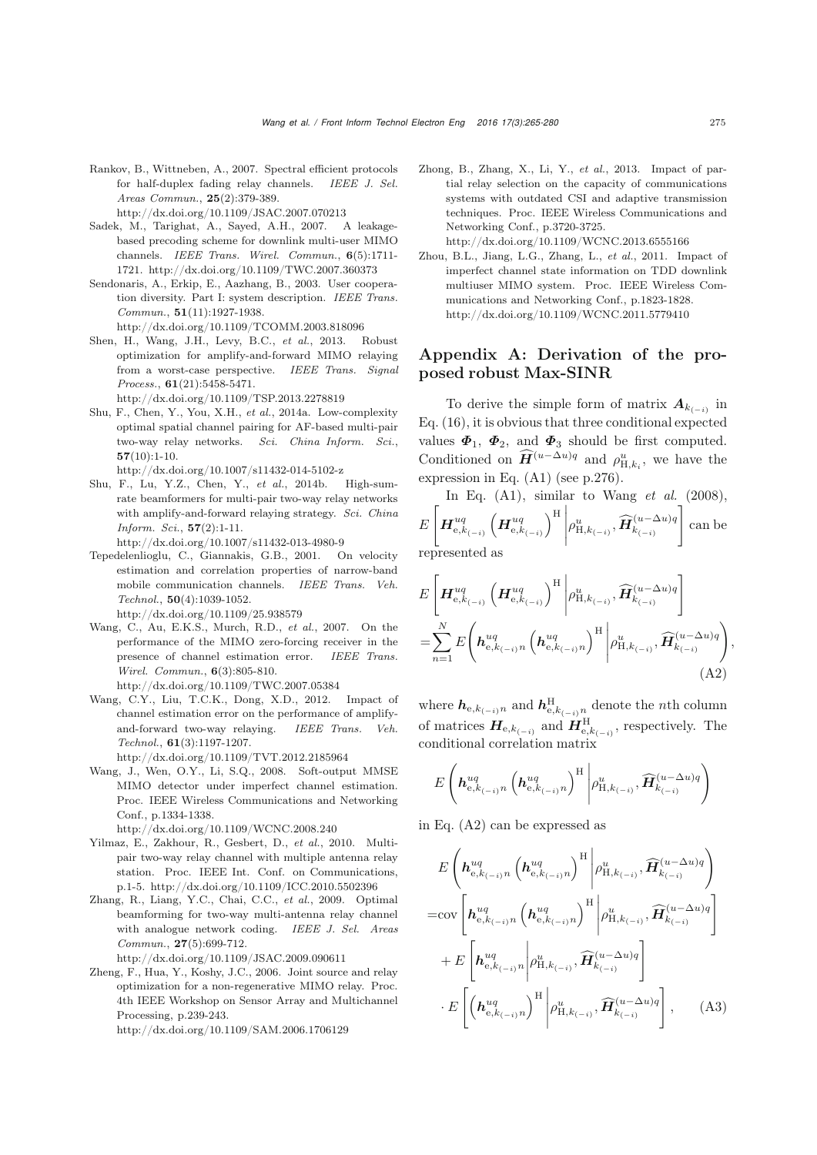<span id="page-10-3"></span>Rankov, B., Wittneben, A., 2007. Spectral efficient protocols for half-duplex fading relay channels. *IEEE J. Sel. Areas Commun.*, 25(2):379-389.

http://dx.doi.org/10.1109/JSAC.2007.070213

- <span id="page-10-9"></span>Sadek, M., Tarighat, A., Sayed, A.H., 2007. A leakagebased precoding scheme for downlink multi-user MIMO channels. *IEEE Trans. Wirel. Commun.*, 6(5):1711- 1721. http://dx.doi.org/10.1109/TWC.2007.360373
- <span id="page-10-0"></span>Sendonaris, A., Erkip, E., Aazhang, B., 2003. User cooperation diversity. Part I: system description. *IEEE Trans. Commun.*, 51(11):1927-1938. http://dx.doi.org/10.1109/TCOMM.2003.818096
- <span id="page-10-11"></span>Shen, H., Wang, J.H., Levy, B.C., *et al.*, 2013. Robust optimization for amplify-and-forward MIMO relaying from a worst-case perspective. *IEEE Trans. Signal Process.*, 61(21):5458-5471.

http://dx.doi.org/10.1109/TSP.2013.2278819

<span id="page-10-7"></span>Shu, F., Chen, Y., You, X.H., *et al.*, 2014a. Low-complexity optimal spatial channel pairing for AF-based multi-pair two-way relay networks. *Sci. China Inform. Sci.*,  $57(10):1-10.$ 

http://dx.doi.org/10.1007/s11432-014-5102-z

- <span id="page-10-6"></span>Shu, F., Lu, Y.Z., Chen, Y., *et al.*, 2014b. High-sumrate beamformers for multi-pair two-way relay networks with amplify-and-forward relaying strategy. *Sci. China Inform. Sci.*, 57(2):1-11. http://dx.doi.org/10.1007/s11432-013-4980-9
- <span id="page-10-13"></span>Tepedelenlioglu, C., Giannakis, G.B., 2001. On velocity estimation and correlation properties of narrow-band mobile communication channels. *IEEE Trans. Veh. Technol.*, 50(4):1039-1052. http://dx.doi.org/10.1109/25.938579
- <span id="page-10-8"></span>Wang, C., Au, E.K.S., Murch, R.D., *et al.*, 2007. On the performance of the MIMO zero-forcing receiver in the presence of channel estimation error. *IEEE Trans. Wirel. Commun.*, 6(3):805-810.
- <span id="page-10-10"></span>http://dx.doi.org/10.1109/TWC.2007.05384 Wang, C.Y., Liu, T.C.K., Dong, X.D., 2012. Impact of
- channel estimation error on the performance of amplifyand-forward two-way relaying. *IEEE Trans. Veh. Technol.*, 61(3):1197-1207. http://dx.doi.org/10.1109/TVT.2012.2185964
- <span id="page-10-14"></span>Wang, J., Wen, O.Y., Li, S.Q., 2008. Soft-output MMSE MIMO detector under imperfect channel estimation. Proc. IEEE Wireless Communications and Networking Conf., p.1334-1338.

http://dx.doi.org/10.1109/WCNC.2008.240

- <span id="page-10-5"></span>Yilmaz, E., Zakhour, R., Gesbert, D., *et al.*, 2010. Multipair two-way relay channel with multiple antenna relay station. Proc. IEEE Int. Conf. on Communications, p.1-5. http://dx.doi.org/10.1109/ICC.2010.5502396
- <span id="page-10-4"></span>Zhang, R., Liang, Y.C., Chai, C.C., *et al.*, 2009. Optimal beamforming for two-way multi-antenna relay channel with analogue network coding. *IEEE J. Sel. Areas Commun.*, 27(5):699-712. http://dx.doi.org/10.1109/JSAC.2009.090611
- <span id="page-10-1"></span>Zheng, F., Hua, Y., Koshy, J.C., 2006. Joint source and relay optimization for a non-regenerative MIMO relay. Proc. 4th IEEE Workshop on Sensor Array and Multichannel Processing, p.239-243.

http://dx.doi.org/10.1109/SAM.2006.1706129

- <span id="page-10-2"></span>Zhong, B., Zhang, X., Li, Y., *et al.*, 2013. Impact of partial relay selection on the capacity of communications systems with outdated CSI and adaptive transmission techniques. Proc. IEEE Wireless Communications and Networking Conf., p.3720-3725. http://dx.doi.org/10.1109/WCNC.2013.6555166
- <span id="page-10-12"></span>Zhou, B.L., Jiang, L.G., Zhang, L., *et al.*, 2011. Impact of imperfect channel state information on TDD downlink multiuser MIMO system. Proc. IEEE Wireless Communications and Networking Conf., p.1823-1828. http://dx.doi.org/10.1109/WCNC.2011.5779410

## Appendix A: Derivation of the proposed robust Max-SINR

To derive the simple form of matrix  $A_{k(-i)}$  in Eq. [\(16\)](#page-4-1), it is obvious that three conditional expected values  $\Phi_1$ ,  $\Phi_2$ , and  $\Phi_3$  should be first computed. Conditioned on  $\mathbf{H}^{(u-\Delta u)q}$  and  $\rho_{\mathrm{H},k_i}^u$ , we have the expression in Eq. [\(A1\)](#page-11-0) (see p.276).

In Eq. (A1), similar to Wang *et al.* (2008),  
\n
$$
E\left[\boldsymbol{H}_{e,k_{(-i)}}^{uq}\left(\boldsymbol{H}_{e,k_{(-i)}}^{uq}\right)^{H}\bigg|\rho_{H,k_{(-i)}}^{u},\widehat{\boldsymbol{H}}_{k_{(-i)}}^{(u-\Delta u)q}\right]
$$
 can be represented as

$$
E\left[\boldsymbol{H}_{e,k_{(-i)}}^{uq}\left(\boldsymbol{H}_{e,k_{(-i)}}^{uq}\right)^{H}\middle|\rho_{H,k_{(-i)}}^{u},\widehat{\boldsymbol{H}}_{k_{(-i)}}^{(u-\Delta u)q}\right]
$$
  
=
$$
\sum_{n=1}^{N}E\left(\boldsymbol{h}_{e,k_{(-i)}n}^{uq}\left(\boldsymbol{h}_{e,k_{(-i)}n}^{uq}\right)^{H}\middle|\rho_{H,k_{(-i)}}^{u},\widehat{\boldsymbol{H}}_{k_{(-i)}}^{(u-\Delta u)q}\right),
$$
(A2)

<span id="page-10-15"></span>where  $h_{e,k_{(-i)}n}$  and  $h_{e,k_{(-i)}n}^{\text{H}}$  denote the *n*th column of matrices  $H_{e,k_{(-i)}}$  and  $H_{e,k_{(-i)}}^H$ , respectively. The conditional correlation matrix

$$
E\left(\boldsymbol{h}_{\mathrm{e},k_{(-i)}n}^{uq}\left(\boldsymbol{h}_{\mathrm{e},k_{(-i)}n}^{uq}\right)^{\mathrm{H}}\Bigg|\rho_{\mathrm{H},k_{(-i)}}^{u},\widehat{\boldsymbol{H}}_{k_{(-i)}}^{(u-\Delta u)q}\right)
$$

in Eq. [\(A2\)](#page-10-15) can be expressed as

<span id="page-10-16"></span>
$$
E\left(\boldsymbol{h}_{e,k_{(-i)}n}^{uq}\left(\boldsymbol{h}_{e,k_{(-i)}n}^{uq}\right)^{H}\middle|\rho_{H,k_{(-i)}}^{u},\widehat{\boldsymbol{H}}_{k_{(-i)}}^{(u-\Delta u)q}\right)\\=\text{cov}\left[\boldsymbol{h}_{e,k_{(-i)}n}^{uq}\left(\boldsymbol{h}_{e,k_{(-i)}n}^{uq}\right)^{H}\middle|\rho_{H,k_{(-i)}}^{u},\widehat{\boldsymbol{H}}_{k_{(-i)}}^{(u-\Delta u)q}\right]\\+E\left[\boldsymbol{h}_{e,k_{(-i)}n}^{uq}\middle|\rho_{H,k_{(-i)}}^{u},\widehat{\boldsymbol{H}}_{k_{(-i)}}^{(u-\Delta u)q}\right]\\ \cdot E\left[\left(\boldsymbol{h}_{e,k_{(-i)}n}^{uq}\right)^{H}\middle|\rho_{H,k_{(-i)}}^{u},\widehat{\boldsymbol{H}}_{k_{(-i)}}^{(u-\Delta u)q}\right],\quad\text{(A3)}
$$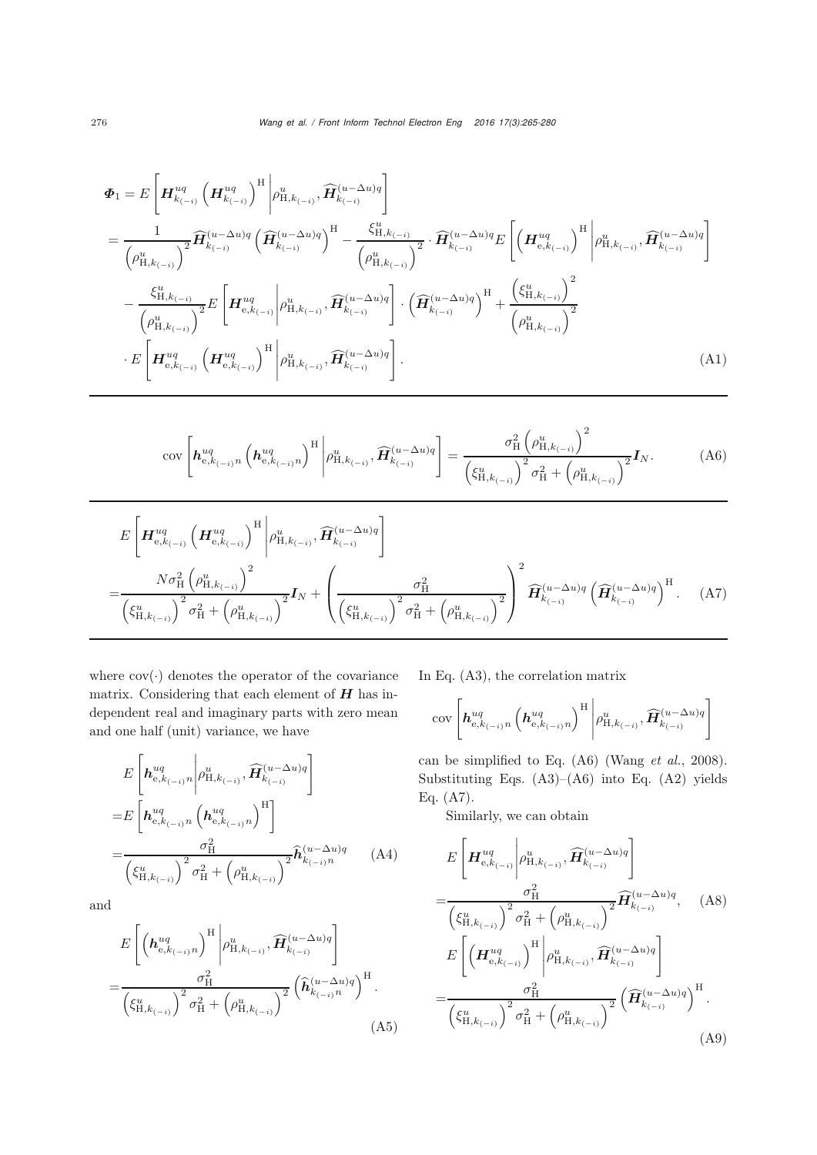$$
\Phi_{1} = E\left[\boldsymbol{H}_{k_{(-i)}}^{uq} \left(\boldsymbol{H}_{k_{(-i)}}^{uq}\right)^{H} \middle| \rho_{H,k_{(-i)}}^{u}, \widehat{\boldsymbol{H}}_{k_{(-i)}}^{(u-\Delta u)q} \right] \right] \n= \frac{1}{\left(\rho_{H,k_{(-i)}}^{u}\right)^{2}} \widehat{\boldsymbol{H}}_{k_{(-i)}}^{(u-\Delta u)q} \left(\widehat{\boldsymbol{H}}_{k_{(-i)}}^{(u-\Delta u)q}\right)^{H} - \frac{\xi_{H,k_{(-i)}}^{u}}{\left(\rho_{H,k_{(-i)}}^{u}\right)^{2}} \cdot \widehat{\boldsymbol{H}}_{k_{(-i)}}^{(u-\Delta u)q} E\left[\left(\boldsymbol{H}_{e,k_{(-i)}}^{u}\right)^{H} \middle| \rho_{H,k_{(-i)}}^{u}, \widehat{\boldsymbol{H}}_{k_{(-i)}}^{(u-\Delta u)q}\right] \right. \n- \frac{\xi_{H,k_{(-i)}}^{u}}{\left(\rho_{H,k_{(-i)}}^{u}\right)^{2}} E\left[\boldsymbol{H}_{e,k_{(-i)}}^{uq} \middle| \rho_{H,k_{(-i)}}^{u}, \widehat{\boldsymbol{H}}_{k_{(-i)}}^{(u-\Delta u)q} \right] \cdot \left(\widehat{\boldsymbol{H}}_{k_{(-i)}}^{(u-\Delta u)q}\right)^{H} + \frac{\left(\xi_{H,k_{(-i)}}^{u}\right)^{2}}{\left(\rho_{H,k_{(-i)}}^{u}\right)^{2}} \right. \n\cdot E\left[\boldsymbol{H}_{e,k_{(-i)}}^{uq} \left(\boldsymbol{H}_{e,k_{(-i)}}^{uq}\right)^{H} \middle| \rho_{H,k_{(-i)}}^{u}, \widehat{\boldsymbol{H}}_{k_{(-i)}}^{(u-\Delta u)q} \right]. \tag{A1}
$$

$$
\text{cov}\left[\boldsymbol{h}_{e,k_{(-i)}n}^{uq}\left(\boldsymbol{h}_{e,k_{(-i)}n}^{uq}\right)^{H}\middle|\rho_{H,k_{(-i)}}^{u},\widehat{\boldsymbol{H}}_{k_{(-i)}}^{(u-\Delta u)q}\right]=\frac{\sigma_{H}^{2}\left(\rho_{H,k_{(-i)}}^{u}\right)^{2}}{\left(\xi_{H,k_{(-i)}}^{u}\right)^{2}\sigma_{H}^{2}+\left(\rho_{H,k_{(-i)}}^{u}\right)^{2}}\boldsymbol{I}_{N}.\tag{A6}
$$

$$
E\left[\mathbf{H}_{e,k_{(-i)}}^{uq}\left(\mathbf{H}_{e,k_{(-i)}}^{uq}\right)^{H}\Bigg|\rho_{H,k_{(-i)}}^{u},\widehat{\mathbf{H}}_{k_{(-i)}}^{(u-\Delta u)q}\right]
$$
\n
$$
=\frac{N\sigma_{H}^{2}\left(\rho_{H,k_{(-i)}}^{u}\right)^{2}}{\left(\xi_{H,k_{(-i)}}^{u}\right)^{2}\sigma_{H}^{2}+\left(\rho_{H,k_{(-i)}}^{u}\right)^{2}}\mathbf{I}_{N}+\left(\frac{\sigma_{H}^{2}}{\left(\xi_{H,k_{(-i)}}^{u}\right)^{2}\sigma_{H}^{2}+\left(\rho_{H,k_{(-i)}}^{u}\right)^{2}}\right)^{2}\widehat{\mathbf{H}}_{k_{(-i)}}^{(u-\Delta u)q}\left(\widehat{\mathbf{H}}_{k_{(-i)}}^{(u-\Delta u)q}\right)^{H}.\tag{A7}
$$

where  $cov(\cdot)$  denotes the operator of the covariance matrix. Considering that each element of *H* has independent real and imaginary parts with zero mean and one half (unit) variance, we have

$$
E\left[\boldsymbol{h}_{e,k_{(-i)}n}^{uq}\middle|\rho_{H,k_{(-i)}}^{u},\widehat{\boldsymbol{H}}_{k_{(-i)}}^{(u-\Delta u)q}\right]
$$
  
\n
$$
=E\left[\boldsymbol{h}_{e,k_{(-i)}n}^{uq}\left(\boldsymbol{h}_{e,k_{(-i)}n}^{uq}\right)^{H}\right]
$$
  
\n
$$
=\frac{\sigma_{H}^{2}}{\left(\xi_{H,k_{(-i)}}^{u}\right)^{2}\sigma_{H}^{2}+\left(\rho_{H,k_{(-i)}}^{u}\right)^{2}}\widehat{\boldsymbol{h}}_{k_{(-i)}n}^{(u-\Delta u)q}\qquad(A4)
$$

and

$$
E\left[\left(\boldsymbol{h}_{e,k_{(-i)}n}^{uq}\right)^{H}\middle|\rho_{H,k_{(-i)}}^{u},\widehat{\boldsymbol{H}}_{k_{(-i)}}^{(u-\Delta u)q}\right]
$$

$$
=\frac{\sigma_{H}^{2}}{\left(\xi_{H,k_{(-i)}}^{u}\right)^{2}\sigma_{H}^{2}+\left(\rho_{H,k_{(-i)}}^{u}\right)^{2}}\left(\widehat{\boldsymbol{h}}_{k_{(-i)}n}^{(u-\Delta u)q}\right)^{H}.
$$
(A5)

<span id="page-11-1"></span><span id="page-11-0"></span>In Eq. [\(A3\)](#page-10-16), the correlation matrix

<span id="page-11-2"></span>
$$
\mathrm{cov}\left[\boldsymbol{h}_{\mathrm{e},k_{(-i)}n}^{uq}\left(\boldsymbol{h}_{\mathrm{e},k_{(-i)}n}^{uq}\right)^{\mathrm{H}}\middle|\rho_{\mathrm{H},k_{(-i)}}^{u},\widehat{\boldsymbol{H}}_{k_{(-i)}}^{(u-\Delta u)q}\right]
$$

can be simplified to Eq. [\(A6\)](#page-11-1) [\(Wang](#page-10-14) *et al.*, [2008\)](#page-10-14). Substituting Eqs. [\(A3\)](#page-10-16)–[\(A6\)](#page-11-1) into Eq. [\(A2\)](#page-10-15) yields Eq. [\(A7\)](#page-11-2).

Similarly, we can obtain

<span id="page-11-4"></span><span id="page-11-3"></span>
$$
E\left[\boldsymbol{H}_{e,k_{(-i)}}^{uq}\middle|\rho_{H,k_{(-i)}}^{u},\widehat{\boldsymbol{H}}_{k_{(-i)}}^{(u-\Delta u)q}\right]
$$
\n
$$
=\frac{\sigma_{H}^{2}}{\left(\zeta_{H,k_{(-i)}}^{u}\right)^{2}\sigma_{H}^{2}+\left(\rho_{H,k_{(-i)}}^{u}\right)^{2}}\widehat{\boldsymbol{H}}_{k_{(-i)}}^{(u-\Delta u)q},\quad\text{(A8)}
$$
\n
$$
E\left[\left(\boldsymbol{H}_{e,k_{(-i)}}^{uq}\right)^{H}\middle|\rho_{H,k_{(-i)}}^{u},\widehat{\boldsymbol{H}}_{k_{(-i)}}^{(u-\Delta u)q}\right]
$$
\n
$$
=\frac{\sigma_{H}^{2}}{\left(\zeta_{H,k_{(-i)}}^{u}\right)^{2}\sigma_{H}^{2}+\left(\rho_{H,k_{(-i)}}^{u}\right)^{2}}\left(\widehat{\boldsymbol{H}}_{k_{(-i)}}^{(u-\Delta u)q}\right)^{H}.\quad\text{(A9)}
$$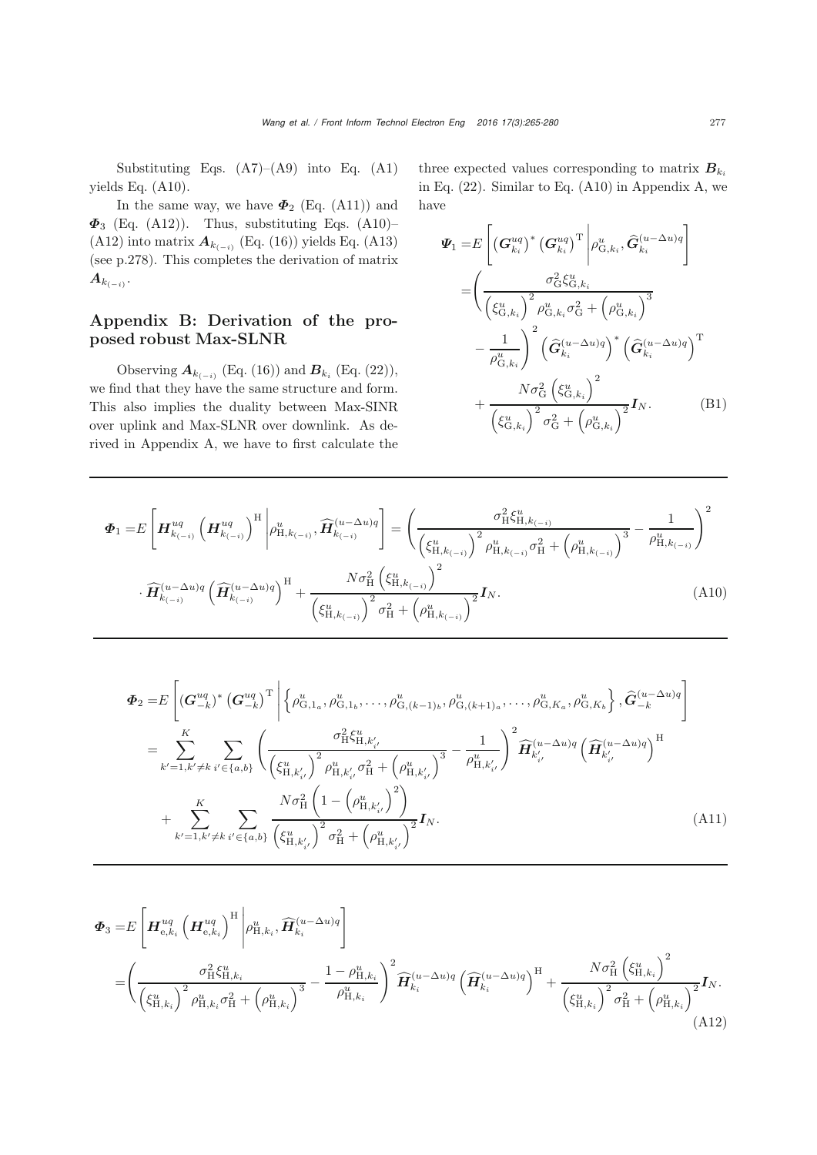Substituting Eqs.  $(A7)$ – $(A9)$  into Eq.  $(A1)$ yields Eq. [\(A10\)](#page-12-0).

In the same way, we have  $\Phi_2$  (Eq. [\(A11\)](#page-12-1)) and *Φ*<sup>3</sup> (Eq. [\(A12\)](#page-12-2)). Thus, substituting Eqs. [\(A10\)](#page-12-0)– [\(A12\)](#page-12-2) into matrix  $A_{k_{(-i)}}$  (Eq. [\(16\)](#page-4-1)) yields Eq. [\(A13\)](#page-13-0) (see p.278). This completes the derivation of matrix  $A_{k_{(-i)}}$ .

## Appendix B: Derivation of the proposed robust Max-SLNR

Observing  $A_{k_{(-i)}}$  (Eq. [\(16\)](#page-4-1)) and  $B_{k_i}$  (Eq. [\(22\)](#page-5-1)), we find that they have the same structure and form. This also implies the duality between Max-SINR over uplink and Max-SLNR over downlink. As derived in Appendix A, we have to first calculate the three expected values corresponding to matrix  $B_{k_i}$ in Eq. [\(22\)](#page-5-1). Similar to Eq. [\(A10\)](#page-12-0) in Appendix A, we have

<span id="page-12-0"></span>
$$
\Psi_{1} = E\left[ \left(\mathbf{G}_{k_{i}}^{uq}\right)^{*}\left(\mathbf{G}_{k_{i}}^{uq}\right)^{\mathrm{T}} \left| \rho_{\mathrm{G},k_{i}}^{u}, \hat{\mathbf{G}}_{k_{i}}^{(u-\Delta u)q} \right| \right]
$$
\n
$$
= \left( \frac{\sigma_{\mathrm{G}}^{2} \xi_{\mathrm{G},k_{i}}^{u}}{\left(\xi_{\mathrm{G},k_{i}}^{u}\right)^{2} \rho_{\mathrm{G},k_{i}}^{u} \sigma_{\mathrm{G}}^{2} + \left(\rho_{\mathrm{G},k_{i}}^{u}\right)^{3}} - \frac{1}{\rho_{\mathrm{G},k_{i}}^{u}} \right)^{2} \left(\hat{\mathbf{G}}_{k_{i}}^{(u-\Delta u)q}\right)^{*} \left(\hat{\mathbf{G}}_{k_{i}}^{(u-\Delta u)q}\right)^{\mathrm{T}} + \frac{N \sigma_{\mathrm{G}}^{2} \left(\xi_{\mathrm{G},k_{i}}^{u}\right)^{2}}{\left(\xi_{\mathrm{G},k_{i}}^{u}\right)^{2} \sigma_{\mathrm{G}}^{2} + \left(\rho_{\mathrm{G},k_{i}}^{u}\right)^{2}} \mathbf{I}_{N}.
$$
\n(B1)

$$
\Phi_{1} = E \left[ \mathbf{H}_{k_{(-i)}}^{uq} \left( \mathbf{H}_{k_{(-i)}}^{uq} \right)^{H} \middle| \rho_{H,k_{(-i)}}^{u}, \widehat{\mathbf{H}}_{k_{(-i)}}^{(u-\Delta u)q} \right] = \left( \frac{\sigma_{H}^{2} \xi_{H,k_{(-i)}}^{u}}{\left( \xi_{H,k_{(-i)}}^{u} \right)^{2} \rho_{H,k_{(-i)}}^{u} \sigma_{H}^{2} + \left( \rho_{H,k_{(-i)}}^{u} \right)^{3}} - \frac{1}{\rho_{H,k_{(-i)}}^{u}} \right)^{2}
$$

$$
\cdot \widehat{\mathbf{H}}_{k_{(-i)}}^{(u-\Delta u)q} \left( \widehat{\mathbf{H}}_{k_{(-i)}}^{(u-\Delta u)q} \right)^{H} + \frac{N \sigma_{H}^{2} \left( \xi_{H,k_{(-i)}}^{u} \right)^{2}}{\left( \xi_{H,k_{(-i)}}^{u} \right)^{2} \sigma_{H}^{2} + \left( \rho_{H,k_{(-i)}}^{u} \right)^{2}} \mathbf{I}_{N}.
$$
\n(A10)

<span id="page-12-1"></span>
$$
\Phi_{2} = E\left[ (\mathbf{G}_{-k}^{uq})^{*} (\mathbf{G}_{-k}^{uq})^{T} \middle| \left\{ \rho_{G,1_{a}}^{u}, \rho_{G,1_{b}}^{u}, \dots, \rho_{G,(k-1)_{b}}^{u}, \rho_{G,(k+1)_{a}}^{u}, \dots, \rho_{G,K_{a}}^{u}, \rho_{G,K_{b}}^{u} \right\}, \hat{\mathbf{G}}_{-k}^{(u-\Delta u)q} \right]
$$
\n
$$
= \sum_{k'=1,k'\neq k}^{K} \sum_{i'\in\{a,b\}} \left( \frac{\sigma_{\text{H}}^{2} \xi_{\text{H},k'_{i'}}^{u}}{\left(\xi_{\text{H},k'_{i'}}^{u}\right)^{2} \rho_{\text{H},k'_{i'}}^{u} \sigma_{\text{H}}^{2} + \left(\rho_{\text{H},k'_{i'}}^{u}\right)^{3}} - \frac{1}{\rho_{\text{H},k'_{i'}}^{u}} \right)^{2} \widehat{\mathbf{H}}_{k'_{i'}}^{(u-\Delta u)q} \left(\widehat{\mathbf{H}}_{k'_{i'}}^{(u-\Delta u)q}\right)^{\text{H}}
$$
\n
$$
+ \sum_{k'=1,k'\neq k}^{K} \sum_{i'\in\{a,b\}} \frac{N \sigma_{\text{H}}^{2} \left(1 - \left(\rho_{\text{H},k'_{i'}}^{u}\right)^{2}\right)}{\left(\xi_{\text{H},k'_{i'}}^{u}\right)^{2} \sigma_{\text{H}}^{2} + \left(\rho_{\text{H},k'_{i'}}^{u}\right)^{2}} \mathbf{I}_{N}.
$$
\n(A11)

<span id="page-12-2"></span>
$$
\Phi_{3} = E \left[ \mathbf{H}_{e,k_{i}}^{uq} \left( \mathbf{H}_{e,k_{i}}^{uq} \right)^{H} \left| \rho_{H,k_{i}}^{u}, \widehat{\mathbf{H}}_{k_{i}}^{(u-\Delta u)q} \right] \right]
$$
\n
$$
= \left( \frac{\sigma_{H}^{2} \xi_{H,k_{i}}^{u}}{\left(\xi_{H,k_{i}}^{u}\right)^{2} \rho_{H,k_{i}}^{u} \sigma_{H}^{2} + \left(\rho_{H,k_{i}}^{u}\right)^{3}} - \frac{1 - \rho_{H,k_{i}}^{u}}{\rho_{H,k_{i}}^{u}} \right)^{2} \widehat{\mathbf{H}}_{k_{i}}^{(u-\Delta u)q} \left( \widehat{\mathbf{H}}_{k_{i}}^{(u-\Delta u)q} \right)^{H} + \frac{N \sigma_{H}^{2} \left(\xi_{H,k_{i}}^{u}\right)^{2}}{\left(\xi_{H,k_{i}}^{u}\right)^{2} \sigma_{H}^{2} + \left(\rho_{H,k_{i}}^{u}\right)^{2}} \mathbf{I}_{N}.
$$
\n(A12)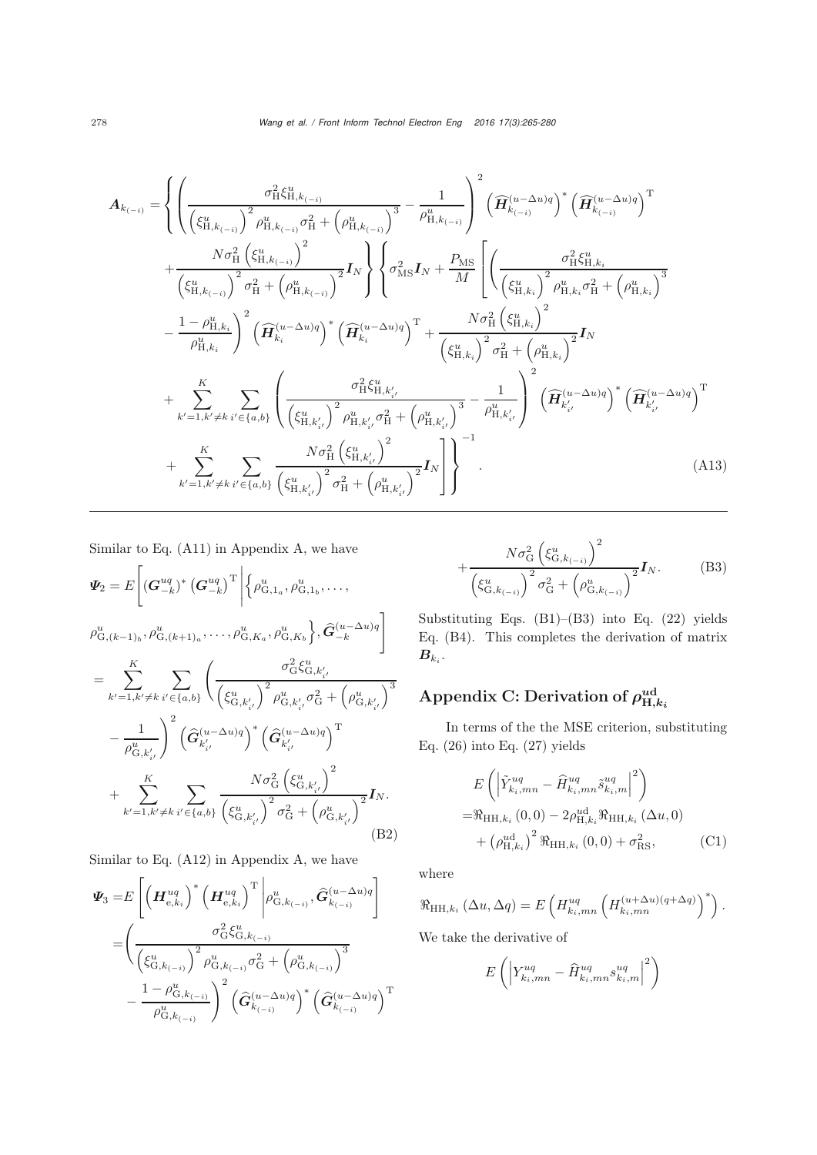$$
A_{k_{(-i)}} = \left\{ \left( \frac{\sigma_{H}^{2} \xi_{H,k_{(-i)}}^{u}}{\left(\xi_{H,k_{(-i)}}^{u}\right)^{2} \rho_{H,k_{(-i)}}^{u} \sigma_{H}^{2} + \left(\rho_{H,k_{(-i)}}^{u}\right)^{3}} - \frac{1}{\rho_{H,k_{(-i)}}^{u}} \right)^{2} \left( \widehat{H}_{k_{(-i)}}^{(u-\Delta u)q} \right)^{*} \left( \widehat{H}_{k_{(-i)}}^{(u-\Delta u)q} \right)^{\mathrm{T}} \right. \\ \left. + \frac{N \sigma_{H}^{2} \left( \xi_{H,k_{(-i)}}^{u} \right)^{2}}{\left(\xi_{H,k_{(-i)}}^{u}\right)^{2} \sigma_{H}^{2} + \left(\rho_{H,k_{(-i)}}^{u}\right)^{2}} I_{N} \right\} \left\{ \sigma_{\mathrm{MS}}^{2} I_{N} + \frac{P_{\mathrm{MS}}}{M} \left[ \left( \frac{\sigma_{\mathrm{HS}}^{2} \xi_{H,k_{i}}^{u}}{\left(\xi_{H,k_{i}}^{u}\right)^{2} \rho_{H,k_{i}}^{u} \sigma_{H}^{2} + \left(\rho_{H,k_{i}}^{u}\right)^{3}} - \frac{1 - \rho_{H,k_{i}}^{u}}{\rho_{H,k_{i}}^{u}} \right)^{2} \left( \widehat{H}_{k_{i}}^{(u-\Delta u)q} \right)^{*} \left( \widehat{H}_{k_{i}}^{(u-\Delta u)q} \right)^{\mathrm{T}} + \frac{N \sigma_{\mathrm{H}}^{2} \left( \xi_{H,k_{i}}^{u}}{\left(\xi_{H,k_{i}}^{u}\right)^{2} \sigma_{H}^{2} + \left(\rho_{H,k_{i}}^{u}\right)^{2}} I_{N} \right. \\ \left. + \sum_{k'=1,k'\neq k}^{K} \sum_{i'\in\{a,b\}} \left( \frac{\sigma_{\mathrm{H}}^{2} \xi_{H,k'_{i'}}^{u}}{\left(\xi_{H,k'_{i'}}^{u}\right)^{2} \rho_{H,k'_{i'}}^{u} \sigma_{H}^{2} + \left(\rho_{H,k'_{i'}}^{u}\right)^{3}} - \frac{1}{\rho_{H,k'_{i'}}^{u}} \right)^{2} \left( \widehat{H}_{k'_{i}}^{(u-\Delta u)q} \right)^{*} \left( \widehat{H}_{k'_{i}}^{(u-\Delta u)q}
$$

Similar to Eq. [\(A11\)](#page-12-1) in Appendix A, we have

$$
\Psi_{2} = E \left[ (\mathbf{G}_{-k}^{uq})^{*} (\mathbf{G}_{-k}^{uq})^{T} \middle| \{ \rho_{G,1_{a}}^{u}, \rho_{G,1_{b}}^{u}, \dots, \right. \\
\left. \rho_{G,(k-1)_{b}}^{u}, \rho_{G,(k+1)_{a}}^{u}, \dots, \rho_{G,K_{a}}^{u}, \rho_{G,K_{b}}^{u} \}, \hat{\mathbf{G}}_{-k}^{(u-\Delta u)q} \right] \\
= \sum_{k'=1,k'\neq k}^{K} \sum_{i' \in \{a,b\}} \left( \frac{\sigma_{G}^{2} \xi_{G,k'_{i'}}^{u}}{\left(\xi_{G,k'_{i'}}^{u}\right)^{2} \rho_{G,k'_{i'}}^{u} \sigma_{G}^{2} + \left(\rho_{G,k'_{i'}}^{u}\right)^{3}} \\
- \frac{1}{\rho_{G,k'_{i'}}^{u}} \right)^{2} \left( \hat{\mathbf{G}}_{k'_{i'}}^{(u-\Delta u)q} \right)^{*} \left( \hat{\mathbf{G}}_{k'_{i'}}^{(u-\Delta u)q} \right)^{T} \\
+ \sum_{k'=1,k'\neq k}^{K} \sum_{i' \in \{a,b\}} \frac{N \sigma_{G}^{2} \left(\xi_{G,k'_{i'}}^{u}\right)^{2}}{\left(\xi_{G,k'_{i'}}^{u}\right)^{2} \sigma_{G}^{2} + \left(\rho_{G,k'_{i'}}^{u}\right)^{2}} \mathbf{I}_{N}.
$$
\n(B2)

Similar to Eq. [\(A12\)](#page-12-2) in Appendix A, we have

$$
\Psi_{3} = E \left[ \left( \mathbf{H}_{e,k_{i}}^{uq} \right)^{*} \left( \mathbf{H}_{e,k_{i}}^{uq} \right)^{\mathrm{T}} \Big| \rho_{\mathrm{G},k_{(-i)}}^{u}, \widehat{\mathbf{G}}_{k_{(-i)}}^{(u-\Delta u)q} \right] \n= \left( \frac{\sigma_{\mathrm{G}}^{2} \xi_{\mathrm{G},k_{(-i)}}^{u}}{\left( \xi_{\mathrm{G},k_{(-i)}}^{u} \right)^{2} \rho_{\mathrm{G},k_{(-i)}}^{u} \sigma_{\mathrm{G}}^{2} + \left( \rho_{\mathrm{G},k_{(-i)}}^{u} \right)^{3}} - \frac{1 - \rho_{\mathrm{G},k_{(-i)}}^{u}}{\rho_{\mathrm{G},k_{(-i)}}^{u}} \right)^{2} \left( \widehat{\mathbf{G}}_{k_{(-i)}}^{(u-\Delta u)q} \right)^{*} \left( \widehat{\mathbf{G}}_{k_{(-i)}}^{(u-\Delta u)q} \right)^{\mathrm{T}}
$$

<span id="page-13-0"></span>
$$
+\frac{N\sigma_{\mathcal{G}}^{2}\left(\xi_{\mathcal{G},k_{(-i)}}^{u}\right)^{2}}{\left(\xi_{\mathcal{G},k_{(-i)}}^{u}\right)^{2}\sigma_{\mathcal{G}}^{2}+\left(\rho_{\mathcal{G},k_{(-i)}}^{u}\right)^{2}}\mathbf{I}_{N}.
$$
 (B3)

Substituting Eqs. [\(B1\)](#page-11-0)–[\(B3\)](#page-10-16) into Eq. [\(22\)](#page-5-1) yields Eq. [\(B4\)](#page-11-4). This completes the derivation of matrix  $B_{k_i}$ .

## Appendix C: Derivation of  $\rho_{\textrm{H},k_i}^{ud}$

In terms of the the MSE criterion, substituting Eq. [\(26\)](#page-6-0) into Eq. [\(27\)](#page-6-3) yields

$$
E\left(\left|\tilde{Y}_{k_{i},mn}^{uq} - \hat{H}_{k_{i},mn}^{uq}\tilde{s}_{k_{i},m}^{uq}\right|^{2}\right) = \Re_{\text{HH},k_{i}}(0,0) - 2\rho_{\text{H},k_{i}}^{u\text{d}}\Re_{\text{HH},k_{i}}(\Delta u,0) + \left(\rho_{\text{H},k_{i}}^{u\text{d}}\right)^{2} \Re_{\text{HH},k_{i}}(0,0) + \sigma_{\text{RS}}^{2},
$$
(C1)

where

$$
\Re_{\mathrm{HH},k_i}(\Delta u, \Delta q) = E\left(H^{uq}_{k_i,mn}\left(H^{(u+\Delta u)(q+\Delta q)}_{k_i,mn}\right)^*\right).
$$

We take the derivative of

$$
E\left(\left|Y^{uq}_{k_i,mn} - \widehat{H}^{uq}_{k_i,mn} s^{uq}_{k_i,m}\right|^2\right)
$$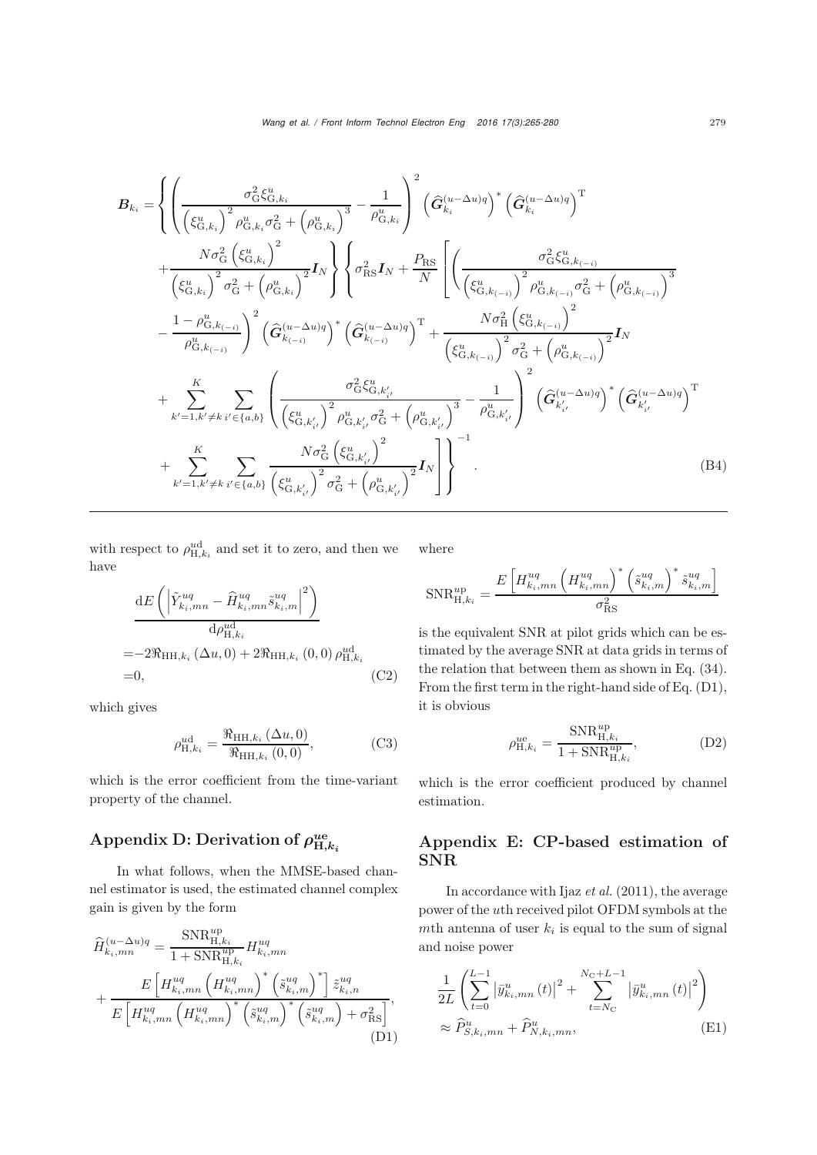$$
B_{k_{i}} = \left\{ \left( \frac{\sigma_{\mathcal{G}}^{2} \zeta_{\mathcal{G},k_{i}}^{u}}{\left(\zeta_{\mathcal{G},k_{i}}^{u}\right)^{2} \rho_{\mathcal{G},k_{i}}^{u} \sigma_{\mathcal{G}}^{2} + \left(\rho_{\mathcal{G},k_{i}}^{u}\right)^{3}} - \frac{1}{\rho_{\mathcal{G},k_{i}}^{u}} \right)^{2} \left(\hat{G}_{k_{i}}^{(u-\Delta u)q}\right)^{*} \left(\hat{G}_{k_{i}}^{(u-\Delta u)q}\right)^{\mathrm{T}} \right\} + \frac{N \sigma_{\mathcal{G}}^{2} \left(\xi_{\mathcal{G},k_{i}}^{u}\right)^{2}}{\left(\xi_{\mathcal{G},k_{i}}^{u}\right)^{2} \sigma_{\mathcal{G}}^{2} + \left(\rho_{\mathcal{G},k_{i}}^{u}\right)^{2}} I_{N} \right\} \left\{ \sigma_{\mathrm{RS}}^{2} I_{N} + \frac{P_{\mathrm{RS}}}{N} \left[ \left( \frac{\sigma_{\mathcal{G}}^{2} \zeta_{\mathcal{G},k_{(-i)}}^{u}}{\left(\xi_{\mathcal{G},k_{(-i)}}^{u}\right)^{2} \rho_{\mathcal{G},k_{(-i)}}^{u} \sigma_{\mathcal{G}}^{2} + \left(\rho_{\mathcal{G},k_{(-i)}}^{u}\right)^{3}} - \frac{1 - \rho_{\mathcal{G},k_{(-i)}}^{u}}{\rho_{\mathcal{G},k_{(-i)}}^{u}\right)^{2} \left(\hat{G}_{k_{(-i)}}^{(u-\Delta u)q}\right)^{*} \left(\hat{G}_{k_{(-i)}}^{(u-\Delta u)q}\right)^{\mathrm{T}} + \frac{N \sigma_{\mathrm{H}}^{2} \left(\xi_{\mathcal{G},k_{(-i)}}^{u}}{\left(\xi_{\mathcal{G},k_{(-i)}}^{u}\right)^{2} \sigma_{\mathcal{G}}^{2} + \left(\rho_{\mathcal{G},k_{(-i)}}^{u}\right)^{2}} I_{N} \right\} + \sum_{k'=1,k'\neq k}^{K} \sum_{i'\in\{a,b\}} \left( \frac{\sigma_{\mathcal{G}}^{2} \zeta_{\mathcal{G},k'_{i'}}^{u}}{\left(\xi_{\mathcal{G},k'_{i'}}^{u}\right)^{2} \rho_{\mathcal{G},k'_{
$$

with respect to  $\rho_{H,k_i}^{ud}$  and set it to zero, and then we have

$$
\frac{\mathrm{d}E\left(\left|\tilde{Y}_{k_i,mn}^{uq} - \hat{H}_{k_i,mn}^{uq}\tilde{s}_{k_i,m}^{uq}\right|^2\right)}{\mathrm{d}\rho_{\mathrm{H},k_i}^{u\mathrm{d}}}
$$
\n
$$
=-2\Re_{\mathrm{HH},k_i}\left(\Delta u,0\right) + 2\Re_{\mathrm{HH},k_i}\left(0,0\right)\rho_{\mathrm{H},k_i}^{u\mathrm{d}}
$$
\n
$$
=0,\tag{C2}
$$

which gives

$$
\rho_{\mathrm{H},k_{i}}^{\mathrm{ud}} = \frac{\Re_{\mathrm{HH},k_{i}}\left(\Delta u,0\right)}{\Re_{\mathrm{HH},k_{i}}\left(0,0\right)},\tag{C3}
$$

which is the error coefficient from the time-variant property of the channel.

## Appendix D: Derivation of  $\rho_{H,k_i}^{ue}$

In what follows, when the MMSE-based channel estimator is used, the estimated channel complex gain is given by the form

$$
\hat{H}_{k_{i},mn}^{(u-\Delta u)q} = \frac{\text{SNR}_{\text{H},k_{i}}^{up}}{1 + \text{SNR}_{\text{H},k_{i}}^{up}} H_{k_{i},mn}^{uq}
$$
\n
$$
+ \frac{E\left[H_{k_{i},mn}^{uq}\left(H_{k_{i},mn}^{uq}\right)^{*}\left(\tilde{s}_{k_{i},m}^{uq}\right)^{*}\right] \tilde{z}_{k_{i},n}^{uq}}{E\left[H_{k_{i},mn}^{uq}\left(H_{k_{i},mn}^{uq}\right)^{*}\left(\tilde{s}_{k_{i},m}^{uq}\right)^{*}\left(\tilde{s}_{k_{i},m}^{uq}\right)^{*}+\sigma_{\text{RS}}^{2}\right]},\tag{D1}
$$

where

$$
\text{SNR}_{\text{H},k_i}^{up} = \frac{E\left[H_{k_i,mn}^{uq}\left(H_{k_i,mn}^{uq}\right)^*\left(\tilde{s}_{k_i,m}^{uq}\right)^*\tilde{s}_{k_i,m}^{uq}\right]}{\sigma_{\text{RS}}^2}
$$

is the equivalent SNR at pilot grids which can be estimated by the average SNR at data grids in terms of the relation that between them as shown in Eq. [\(34\)](#page-6-4). From the first term in the right-hand side of Eq. [\(D1\)](#page-11-0), it is obvious

$$
\rho_{H,k_i}^{ue} = \frac{\text{SNR}_{H,k_i}^{up}}{1 + \text{SNR}_{H,k_i}^{up}},\tag{D2}
$$

which is the error coefficient produced by channel estimation.

## Appendix E: CP-based estimation of SNR

In accordance with Ijaz *[et al.](#page-9-14)* [\(2011\)](#page-9-14), the average power of the uth received pilot OFDM symbols at the mth antenna of user  $k_i$  is equal to the sum of signal and noise power

$$
\frac{1}{2L} \left( \sum_{t=0}^{L-1} \left| \bar{y}_{k_{i},mn}^{u}(t) \right|^{2} + \sum_{t=N_{\text{C}}}^{N_{\text{C}}+L-1} \left| \bar{y}_{k_{i},mn}^{u}(t) \right|^{2} \right)
$$
\n
$$
\approx \hat{P}_{S,k_{i},mn}^{u} + \hat{P}_{N,k_{i},mn}^{u}, \tag{E1}
$$